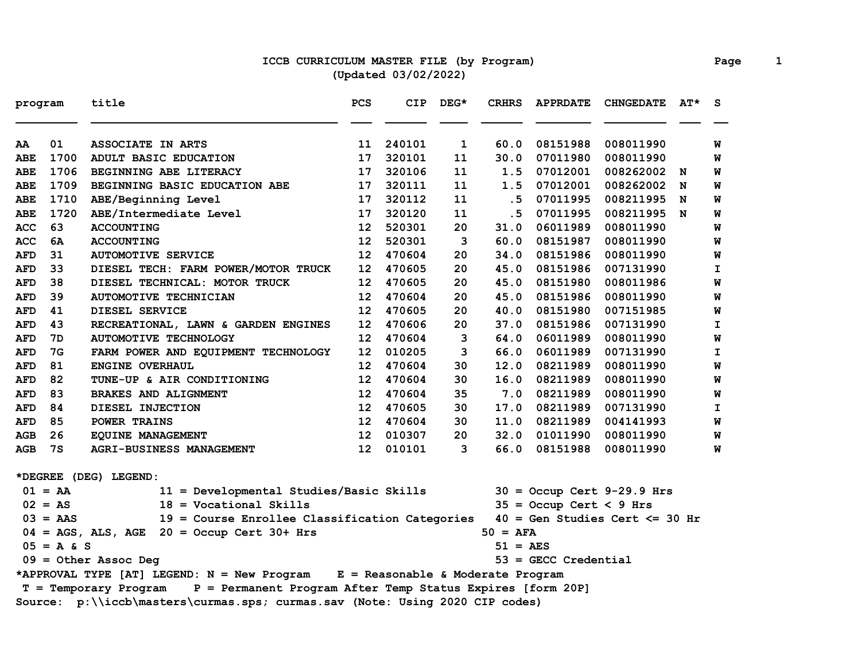### **ICCB CURRICULUM MASTER FILE (by Program) Page 1 (Updated 03/02/2022)**

| program    |                         | title                                                                               | <b>PCS</b>      | <b>CIP</b> | $DEG*$ | <b>CRHRS</b> | <b>APPRDATE</b>           | <b>CHNGEDATE</b>                  | AT* | <b>S</b>     |
|------------|-------------------------|-------------------------------------------------------------------------------------|-----------------|------------|--------|--------------|---------------------------|-----------------------------------|-----|--------------|
| AA         | 01                      | <b>ASSOCIATE IN ARTS</b>                                                            | 11              | 240101     | 1      | 60.0         | 08151988                  | 008011990                         |     | W            |
| ABE        | 1700                    | ADULT BASIC EDUCATION                                                               | 17              | 320101     | 11     | 30.0         | 07011980                  | 008011990                         |     | W            |
| <b>ABE</b> | 1706                    | BEGINNING ABE LITERACY                                                              | 17              | 320106     | 11     | 1.5          | 07012001                  | 008262002 N                       |     | W            |
| ABE        | 1709                    | BEGINNING BASIC EDUCATION ABE                                                       | 17              | 320111     | 11     | 1.5          | 07012001                  | 008262002                         | N   | W            |
| ABE        | 1710                    | ABE/Beginning Level                                                                 | 17              | 320112     | 11     | .5           | 07011995                  | 008211995                         | N   | W            |
| <b>ABE</b> | 1720                    | ABE/Intermediate Level                                                              | 17              | 320120     | 11     | . 5          | 07011995                  | 008211995 N                       |     | W            |
| ACC        | 63                      | <b>ACCOUNTING</b>                                                                   | 12              | 520301     | 20     | 31.0         | 06011989                  | 008011990                         |     | W            |
| <b>ACC</b> | 6A                      | <b>ACCOUNTING</b>                                                                   | 12              | 520301     | 3      | 60.0         | 08151987                  | 008011990                         |     | W            |
| AFD        | 31                      | <b>AUTOMOTIVE SERVICE</b>                                                           | 12              | 470604     | 20     | 34.0         | 08151986                  | 008011990                         |     | W            |
| <b>AFD</b> | 33                      | DIESEL TECH: FARM POWER/MOTOR TRUCK                                                 | 12              | 470605     | 20     | 45.0         | 08151986                  | 007131990                         |     | $\mathbf{I}$ |
| AFD        | 38                      | DIESEL TECHNICAL: MOTOR TRUCK                                                       | 12              | 470605     | 20     | 45.0         | 08151980                  | 008011986                         |     | W            |
| <b>AFD</b> | 39                      | <b>AUTOMOTIVE TECHNICIAN</b>                                                        | 12              | 470604     | 20     | 45.0         | 08151986                  | 008011990                         |     | W            |
| AFD        | 41                      | DIESEL SERVICE                                                                      | 12              | 470605     | 20     | 40.0         | 08151980                  | 007151985                         |     | W            |
| <b>AFD</b> | 43                      | RECREATIONAL, LAWN & GARDEN ENGINES                                                 | 12              | 470606     | 20     | 37.0         | 08151986                  | 007131990                         |     | I.           |
| <b>AFD</b> | 7D                      | <b>AUTOMOTIVE TECHNOLOGY</b>                                                        | 12              | 470604     | 3      | 64.0         | 06011989                  | 008011990                         |     | W            |
| AFD        | 7G                      | FARM POWER AND EQUIPMENT TECHNOLOGY                                                 | 12              | 010205     | 3      | 66.0         | 06011989                  | 007131990                         |     | I            |
| <b>AFD</b> | 81                      | ENGINE OVERHAUL                                                                     | 12              | 470604     | 30     | 12.0         | 08211989                  | 008011990                         |     | W            |
| <b>AFD</b> | 82                      | TUNE-UP & AIR CONDITIONING                                                          | 12              | 470604     | 30     | 16.0         | 08211989                  | 008011990                         |     | W            |
| <b>AFD</b> | 83                      | <b>BRAKES AND ALIGNMENT</b>                                                         | 12              | 470604     | 35     | 7.0          | 08211989                  | 008011990                         |     | W            |
| <b>AFD</b> | 84                      | DIESEL INJECTION                                                                    | 12              | 470605     | 30     | 17.0         | 08211989                  | 007131990                         |     | I.           |
| <b>AFD</b> | 85                      | POWER TRAINS                                                                        | 12              | 470604     | 30     | 11.0         | 08211989                  | 004141993                         |     | W            |
| AGB        | 26                      | EQUINE MANAGEMENT                                                                   | 12 <sub>2</sub> | 010307     | 20     | 32.0         | 01011990                  | 008011990                         |     | W            |
| AGB        | 7s                      | <b>AGRI-BUSINESS MANAGEMENT</b>                                                     | 12              | 010101     | 3      | 66.0         | 08151988                  | 008011990                         |     | W            |
|            |                         | *DEGREE (DEG) LEGEND:                                                               |                 |            |        |              |                           |                                   |     |              |
|            | $01 = AA$               | 11 = Developmental Studies/Basic Skills                                             |                 |            |        |              |                           | $30 =$ Occup Cert 9-29.9 Hrs      |     |              |
|            | $02 = AS$               | $18 = Vocational$ Skills                                                            |                 |            |        |              | $35 =$ Occup Cert < 9 Hrs |                                   |     |              |
|            | $03 = AAS$              | 19 = Course Enrollee Classification Categories                                      |                 |            |        |              |                           | $40 = Gen Studies Cert \le 30 Hr$ |     |              |
|            |                         | $04 = AGS$ , ALS, AGE 20 = Occup Cert 30+ Hrs                                       |                 |            |        | $50 = AFA$   |                           |                                   |     |              |
|            | $05 = A & S$            |                                                                                     |                 |            |        | 51 = AES     |                           |                                   |     |              |
|            | $09 = 0$ ther Assoc Deg |                                                                                     |                 |            |        |              | $53 =$ GECC Credential    |                                   |     |              |
|            |                         | *APPROVAL TYPE [AT] LEGEND: N = New Program E = Reasonable & Moderate Program       |                 |            |        |              |                           |                                   |     |              |
|            |                         | P = Permanent Program After Temp Status Expires [form 20P]<br>T = Temporary Program |                 |            |        |              |                           |                                   |     |              |
|            |                         | Source: p:\\iccb\masters\curmas.sps; curmas.sav (Note: Using 2020 CIP codes)        |                 |            |        |              |                           |                                   |     |              |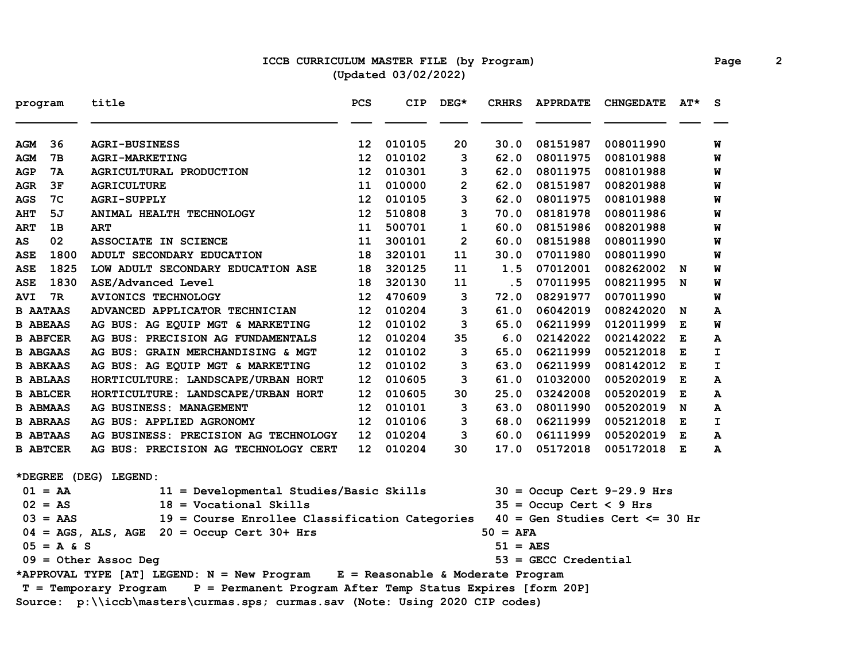### **ICCB CURRICULUM MASTER FILE (by Program) Page 2 (Updated 03/02/2022)**

| program                                                                             |                                                                                                   | title                                                                         | PCS | CIP    | DEG*           | <b>CRHRS</b> | <b>APPRDATE</b>           | <b>CHNGEDATE</b>             | AT* | <b>S</b> |
|-------------------------------------------------------------------------------------|---------------------------------------------------------------------------------------------------|-------------------------------------------------------------------------------|-----|--------|----------------|--------------|---------------------------|------------------------------|-----|----------|
| AGM                                                                                 | 36                                                                                                | <b>AGRI-BUSINESS</b>                                                          | 12  | 010105 | 20             | 30.0         | 08151987                  | 008011990                    |     | W        |
| AGM                                                                                 | 7в                                                                                                | <b>AGRI-MARKETING</b>                                                         | 12  | 010102 | 3              | 62.0         | 08011975                  | 008101988                    |     | W        |
| AGP                                                                                 | 7A                                                                                                | AGRICULTURAL PRODUCTION                                                       | 12  | 010301 | 3              | 62.0         | 08011975                  | 008101988                    |     | W        |
| <b>AGR</b>                                                                          | 3F                                                                                                | <b>AGRICULTURE</b>                                                            | 11  | 010000 | $\overline{2}$ | 62.0         | 08151987                  | 008201988                    |     | W        |
| <b>AGS</b>                                                                          | 7C                                                                                                | <b>AGRI-SUPPLY</b>                                                            | 12  | 010105 | 3              | 62.0         | 08011975                  | 008101988                    |     | W        |
| <b>AHT</b>                                                                          | 5J                                                                                                | ANIMAL HEALTH TECHNOLOGY                                                      | 12  | 510808 | 3              | 70.0         | 08181978                  | 008011986                    |     | W        |
| <b>ART</b>                                                                          | 1B                                                                                                | <b>ART</b>                                                                    | 11  | 500701 | $\mathbf 1$    | 60.0         | 08151986                  | 008201988                    |     | W        |
| AS                                                                                  | 02                                                                                                | ASSOCIATE IN SCIENCE                                                          | 11  | 300101 | $\overline{2}$ | 60.0         | 08151988                  | 008011990                    |     | W        |
| <b>ASE</b>                                                                          | 1800                                                                                              | ADULT SECONDARY EDUCATION                                                     | 18  | 320101 | 11             | 30.0         | 07011980                  | 008011990                    |     | W        |
| <b>ASE</b>                                                                          | 1825                                                                                              | LOW ADULT SECONDARY EDUCATION ASE                                             | 18  | 320125 | 11             | 1.5          | 07012001                  | 008262002                    | N   | W        |
| <b>ASE</b>                                                                          | 1830                                                                                              | ASE/Advanced Level                                                            | 18  | 320130 | 11             | . 5          | 07011995                  | 008211995                    | N   | W        |
| <b>AVI</b>                                                                          | 7R                                                                                                | <b>AVIONICS TECHNOLOGY</b>                                                    | 12  | 470609 | 3              | 72.0         | 08291977                  | 007011990                    |     | W        |
| <b>B AATAAS</b>                                                                     |                                                                                                   | ADVANCED APPLICATOR TECHNICIAN                                                | 12  | 010204 | 3              | 61.0         | 06042019                  | 008242020                    | N   | A        |
| <b>B ABEAAS</b>                                                                     |                                                                                                   | AG BUS: AG EQUIP MGT & MARKETING                                              | 12  | 010102 | 3              | 65.0         | 06211999                  | 012011999                    | Е   | W        |
| <b>B ABFCER</b>                                                                     |                                                                                                   | AG BUS: PRECISION AG FUNDAMENTALS                                             | 12  | 010204 | 35             | 6.0          | 02142022                  | 002142022                    | E   | A        |
| <b>B ABGAAS</b>                                                                     |                                                                                                   | AG BUS: GRAIN MERCHANDISING & MGT                                             | 12  | 010102 | 3              | 65.0         | 06211999                  | 005212018                    | Е   | I        |
| <b>B ABKAAS</b>                                                                     |                                                                                                   | AG BUS: AG EQUIP MGT & MARKETING                                              | 12  | 010102 | з              | 63.0         | 06211999                  | 008142012                    | Е   | I        |
| <b>B ABLAAS</b>                                                                     |                                                                                                   | HORTICULTURE: LANDSCAPE/URBAN HORT                                            | 12  | 010605 | 3              | 61.0         | 01032000                  | 005202019                    | Е   | A        |
| <b>B ABLCER</b>                                                                     |                                                                                                   | HORTICULTURE: LANDSCAPE/URBAN HORT                                            | 12  | 010605 | 30             | 25.0         | 03242008                  | 005202019                    | Е   | A        |
| <b>B ABMAAS</b>                                                                     |                                                                                                   | AG BUSINESS: MANAGEMENT                                                       | 12  | 010101 | 3              | 63.0         | 08011990                  | 005202019                    | N   | A        |
| <b>B ABRAAS</b>                                                                     |                                                                                                   | AG BUS: APPLIED AGRONOMY                                                      | 12  | 010106 | 3              | 68.0         | 06211999                  | 005212018                    | Е   | I        |
| <b>B ABTAAS</b>                                                                     |                                                                                                   | AG BUSINESS: PRECISION AG TECHNOLOGY                                          | 12  | 010204 | 3              | 60.0         | 06111999                  | 005202019                    | Е   | A        |
| <b>B ABTCER</b>                                                                     |                                                                                                   | AG BUS: PRECISION AG TECHNOLOGY CERT                                          | 12  | 010204 | 30             | 17.0         | 05172018                  | 005172018                    | E   | A        |
|                                                                                     |                                                                                                   | *DEGREE (DEG) LEGEND:                                                         |     |        |                |              |                           |                              |     |          |
|                                                                                     | $01 = AA$                                                                                         | 11 = Developmental Studies/Basic Skills                                       |     |        |                |              |                           | $30 =$ Occup Cert 9-29.9 Hrs |     |          |
|                                                                                     | $02 = AS$                                                                                         | $18 = Vocational Skills$                                                      |     |        |                |              | $35 = Occup$ Cert < 9 Hrs |                              |     |          |
|                                                                                     | 19 = Course Enrollee Classification Categories<br>$40 = Gen Studies Cert \le 30 hr$<br>$03 = AAS$ |                                                                               |     |        |                |              |                           |                              |     |          |
|                                                                                     |                                                                                                   | $04 = AGS$ , ALS, AGE 20 = Occup Cert 30+ Hrs                                 |     |        |                | $50 = AFA$   |                           |                              |     |          |
|                                                                                     | $05 = A & S$                                                                                      |                                                                               |     |        |                | 51 = AES     |                           |                              |     |          |
| $09 =$ Other Assoc Deg                                                              |                                                                                                   |                                                                               |     |        |                |              | $53$ = GECC Credential    |                              |     |          |
|                                                                                     |                                                                                                   | *APPROVAL TYPE [AT] LEGEND: N = New Program E = Reasonable & Moderate Program |     |        |                |              |                           |                              |     |          |
| P = Permanent Program After Temp Status Expires [form 20P]<br>T = Temporary Program |                                                                                                   |                                                                               |     |        |                |              |                           |                              |     |          |
| Source: p:\\iccb\masters\curmas.sps; curmas.sav (Note: Using 2020 CIP codes)        |                                                                                                   |                                                                               |     |        |                |              |                           |                              |     |          |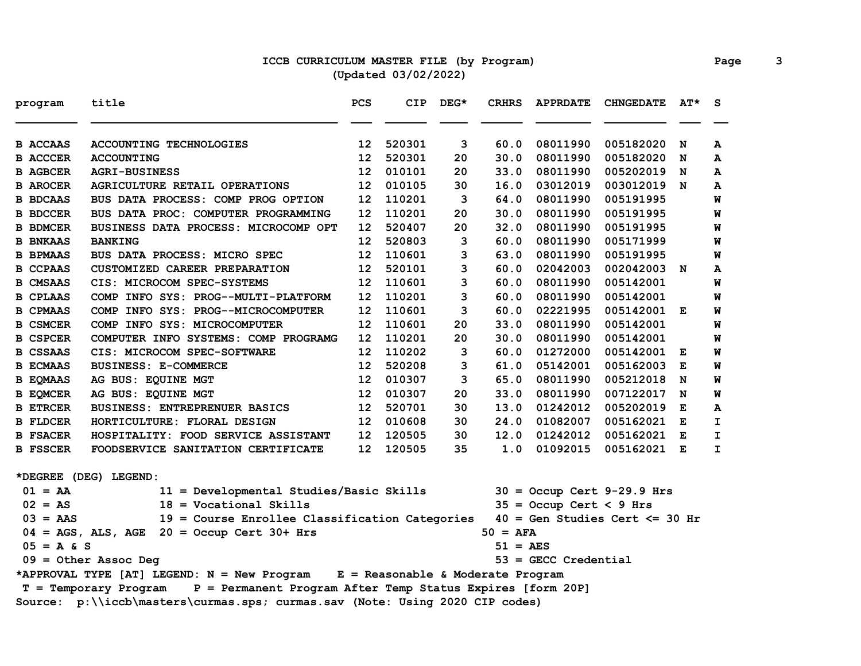# **ICCB CURRICULUM MASTER FILE (by Program) Page 3 (Updated 03/02/2022)**

| program         | title                                                                               | PCS | <b>CIP</b> | DEG* | <b>CRHRS</b>      | <b>APPRDATE</b>           | <b>CHNGEDATE</b>                  | $AT^{\star}$ | <b>S</b> |
|-----------------|-------------------------------------------------------------------------------------|-----|------------|------|-------------------|---------------------------|-----------------------------------|--------------|----------|
| <b>B ACCAAS</b> | <b>ACCOUNTING TECHNOLOGIES</b>                                                      | 12  | 520301     | 3    | 60.0              | 08011990                  | 005182020                         | N            | A        |
| <b>B ACCCER</b> | <b>ACCOUNTING</b>                                                                   | 12  | 520301     | 20   | 30.0              | 08011990                  | 005182020                         | N            | A        |
| <b>B AGBCER</b> | <b>AGRI-BUSINESS</b>                                                                | 12  | 010101     | 20   | 33.0              | 08011990                  | 005202019                         | N            | A        |
| <b>B AROCER</b> | <b>AGRICULTURE RETAIL OPERATIONS</b>                                                | 12  | 010105     | 30   | 16.0              | 03012019                  | 003012019 N                       |              | A        |
| <b>B BDCAAS</b> | BUS DATA PROCESS: COMP PROG OPTION                                                  | 12  | 110201     | 3    | 64.0              | 08011990                  | 005191995                         |              | W        |
| <b>B BDCCER</b> | BUS DATA PROC: COMPUTER PROGRAMMING                                                 | 12  | 110201     | 20   | 30.0              | 08011990                  | 005191995                         |              | W        |
| <b>B BDMCER</b> | BUSINESS DATA PROCESS: MICROCOMP OPT                                                | 12  | 520407     | 20   | 32.0              | 08011990                  | 005191995                         |              | W        |
| <b>B BNKAAS</b> | <b>BANKING</b>                                                                      | 12  | 520803     | 3    | 60.0              | 08011990                  | 005171999                         |              | W        |
| <b>B BPMAAS</b> | BUS DATA PROCESS: MICRO SPEC                                                        | 12  | 110601     | з    | 63.0              | 08011990                  | 005191995                         |              | W        |
| <b>B CCPAAS</b> | CUSTOMIZED CAREER PREPARATION                                                       | 12  | 520101     | 3    | 60.0              | 02042003                  | 002042003 N                       |              | A        |
| <b>B CMSAAS</b> | CIS: MICROCOM SPEC-SYSTEMS                                                          | 12  | 110601     | 3    | 60.0              | 08011990                  | 005142001                         |              | W        |
| <b>B CPLAAS</b> | COMP INFO SYS: PROG--MULTI-PLATFORM                                                 | 12  | 110201     | 3    | 60.0              | 08011990                  | 005142001                         |              | W        |
| <b>B CPMAAS</b> | COMP INFO SYS: PROG--MICROCOMPUTER                                                  | 12  | 110601     | 3    | 60.0              | 02221995                  | 005142001 E                       |              | W        |
| <b>B CSMCER</b> | COMP INFO SYS: MICROCOMPUTER                                                        | 12  | 110601     | 20   | 33.0              | 08011990                  | 005142001                         |              | W        |
| <b>B CSPCER</b> | COMPUTER INFO SYSTEMS: COMP PROGRAMG                                                | 12  | 110201     | 20   | 30.0              | 08011990                  | 005142001                         |              | W        |
| <b>B CSSAAS</b> | CIS: MICROCOM SPEC-SOFTWARE                                                         | 12  | 110202     | 3    | 60.0              | 01272000                  | 005142001                         | Е            | W        |
| <b>B ECMAAS</b> | <b>BUSINESS: E-COMMERCE</b>                                                         | 12  | 520208     | з    | 61.0              | 05142001                  | 005162003                         | Е            | W        |
| <b>B EQMAAS</b> | AG BUS: EQUINE MGT                                                                  | 12  | 010307     | 3    | 65.0              | 08011990                  | 005212018                         | N            | W        |
| <b>B EQMCER</b> | AG BUS: EQUINE MGT                                                                  | 12  | 010307     | 20   | 33.0              | 08011990                  | 007122017                         | N            | W        |
| <b>B ETRCER</b> | <b>BUSINESS: ENTREPRENUER BASICS</b>                                                | 12  | 520701     | 30   | 13.0              | 01242012                  | 005202019                         | Е            | A        |
| <b>B</b> FLDCER | HORTICULTURE: FLORAL DESIGN                                                         | 12  | 010608     | 30   | 24.0              | 01082007                  | 005162021                         | Е            | I        |
| <b>B FSACER</b> | HOSPITALITY: FOOD SERVICE ASSISTANT                                                 | 12  | 120505     | 30   | 12.0              | 01242012                  | 005162021 E                       |              | I.       |
| <b>B</b> FSSCER | FOODSERVICE SANITATION CERTIFICATE                                                  | 12  | 120505     | 35   | 1.0               | 01092015                  | 005162021 E                       |              | I        |
|                 | *DEGREE (DEG) LEGEND:                                                               |     |            |      |                   |                           |                                   |              |          |
| $01 = AA$       | 11 = Developmental Studies/Basic Skills                                             |     |            |      |                   |                           | $30 =$ Occup Cert 9-29.9 Hrs      |              |          |
| $02 = AS$       | $18 = Vocational Skills$                                                            |     |            |      |                   | $35 =$ Occup Cert < 9 Hrs |                                   |              |          |
| $03 = AAS$      | 19 = Course Enrollee Classification Categories                                      |     |            |      |                   |                           | $40 = Gen Studies Cert \le 30 hr$ |              |          |
|                 | $04 = AGS$ , ALS, AGE 20 = Occup Cert 30+ Hrs                                       |     |            |      | $50 = AFA$        |                           |                                   |              |          |
| $05 = A & S$    |                                                                                     |     |            |      | $51 = \text{AES}$ |                           |                                   |              |          |
|                 | $09 =$ Other Assoc Deg                                                              |     |            |      |                   | $53$ = GECC Credential    |                                   |              |          |
|                 | *APPROVAL TYPE [AT] LEGEND: N = New Program E = Reasonable & Moderate Program       |     |            |      |                   |                           |                                   |              |          |
|                 | P = Permanent Program After Temp Status Expires [form 20P]<br>T = Temporary Program |     |            |      |                   |                           |                                   |              |          |
|                 | Source: p:\\iccb\masters\curmas.sps; curmas.sav (Note: Using 2020 CIP codes)        |     |            |      |                   |                           |                                   |              |          |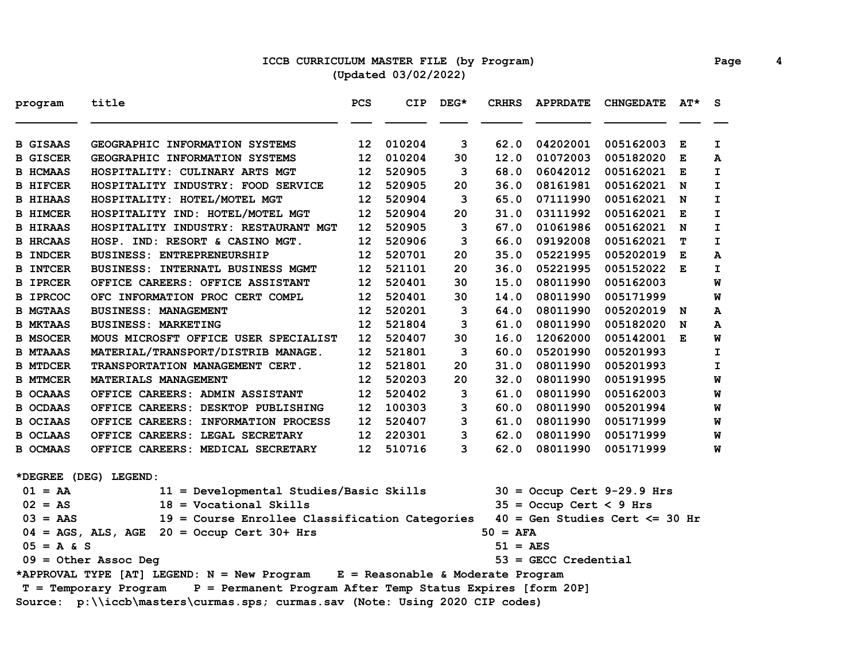## **ICCB CURRICULUM MASTER FILE (by Program) Page 4 (Updated 03/02/2022)**

| program                                                                      | title                                                                               | PCS             | <b>CIP</b> | $DEG*$ | <b>CRHRS</b> | <b>APPRDATE</b>           | <b>CHNGEDATE</b>                  | $AT^{\star}$ | S.           |
|------------------------------------------------------------------------------|-------------------------------------------------------------------------------------|-----------------|------------|--------|--------------|---------------------------|-----------------------------------|--------------|--------------|
| <b>B GISAAS</b>                                                              | GEOGRAPHIC INFORMATION SYSTEMS                                                      | 12              | 010204     | 3      | 62.0         | 04202001                  | 005162003                         | Е            | I.           |
| <b>B GISCER</b>                                                              | GEOGRAPHIC INFORMATION SYSTEMS                                                      | 12              | 010204     | 30     | 12.0         | 01072003                  | 005182020                         | Е            | A            |
| <b>B HCMAAS</b>                                                              | HOSPITALITY: CULINARY ARTS MGT                                                      | 12              | 520905     | 3      | 68.0         | 06042012                  | 005162021                         | Е            | $\mathbf{I}$ |
| <b>B HIFCER</b>                                                              | HOSPITALITY INDUSTRY: FOOD SERVICE                                                  | 12              | 520905     | 20     | 36.0         | 08161981                  | 005162021 N                       |              | $\mathbf{I}$ |
| <b>B HIHAAS</b>                                                              | HOSPITALITY: HOTEL/MOTEL MGT                                                        | 12              | 520904     | 3      | 65.0         | 07111990                  | 005162021 N                       |              | $\mathbf{I}$ |
| <b>B HIMCER</b>                                                              | HOSPITALITY IND: HOTEL/MOTEL MGT                                                    | 12              | 520904     | 20     | 31.0         | 03111992                  | 005162021                         | E            | $\mathbf{I}$ |
| <b>B HIRAAS</b>                                                              | HOSPITALITY INDUSTRY: RESTAURANT MGT                                                | 12              | 520905     | 3      | 67.0         | 01061986                  | 005162021                         | N            | I.           |
| <b>B HRCAAS</b>                                                              | HOSP. IND: RESORT & CASINO MGT.                                                     | 12              | 520906     | 3      | 66.0         | 09192008                  | 005162021                         | т            | I.           |
| <b>B INDCER</b>                                                              | <b>BUSINESS: ENTREPRENEURSHIP</b>                                                   | 12              | 520701     | 20     | 35.0         | 05221995                  | 005202019                         | Е            | А            |
| <b>B INTCER</b>                                                              | <b>BUSINESS: INTERNATL BUSINESS MGMT</b>                                            | 12 <sup>2</sup> | 521101     | 20     | 36.0         | 05221995                  | 005152022 E                       |              | I.           |
| <b>B IPRCER</b>                                                              | OFFICE CAREERS: OFFICE ASSISTANT                                                    | 12 <sub>1</sub> | 520401     | 30     | 15.0         | 08011990                  | 005162003                         |              | M            |
| <b>B IPRCOC</b>                                                              | OFC INFORMATION PROC CERT COMPL                                                     | 12              | 520401     | 30     | 14.0         | 08011990                  | 005171999                         |              | W            |
| <b>B MGTAAS</b>                                                              | <b>BUSINESS: MANAGEMENT</b>                                                         | 12 <sub>1</sub> | 520201     | 3      | 64.0         | 08011990                  | 005202019                         | N            | A            |
| <b>B MKTAAS</b>                                                              | <b>BUSINESS: MARKETING</b>                                                          | 12 <sup>2</sup> | 521804     | 3      | 61.0         | 08011990                  | 005182020                         | N            | A            |
| <b>B MSOCER</b>                                                              | MOUS MICROSFT OFFICE USER SPECIALIST                                                | 12 <sup>2</sup> | 520407     | 30     | 16.0         | 12062000                  | 005142001 E                       |              | W            |
| <b>B MTAAAS</b>                                                              | MATERIAL/TRANSPORT/DISTRIB MANAGE.                                                  | 12 <sub>1</sub> | 521801     | 3      | 60.0         | 05201990                  | 005201993                         |              | I            |
| <b>B MTDCER</b>                                                              | TRANSPORTATION MANAGEMENT CERT.                                                     | 12              | 521801     | 20     | 31.0         | 08011990                  | 005201993                         |              | I            |
| <b>B MTMCER</b>                                                              | MATERIALS MANAGEMENT                                                                | 12              | 520203     | 20     | 32.0         | 08011990                  | 005191995                         |              | W            |
| <b>B OCAAAS</b>                                                              | OFFICE CAREERS: ADMIN ASSISTANT                                                     | 12              | 520402     | 3      | 61.0         | 08011990                  | 005162003                         |              | W            |
| <b>B OCDAAS</b>                                                              | OFFICE CAREERS: DESKTOP PUBLISHING                                                  | 12              | 100303     | 3      | 60.0         | 08011990                  | 005201994                         |              | W            |
| <b>B OCIAAS</b>                                                              | OFFICE CAREERS: INFORMATION PROCESS                                                 | 12              | 520407     | 3      | 61.0         | 08011990                  | 005171999                         |              | W            |
| <b>B OCLAAS</b>                                                              | OFFICE CAREERS: LEGAL SECRETARY                                                     | 12              | 220301     | 3      | 62.0         | 08011990                  | 005171999                         |              | W            |
| <b>B OCMAAS</b>                                                              | OFFICE CAREERS: MEDICAL SECRETARY                                                   | 12              | 510716     | 3      | 62.0         | 08011990                  | 005171999                         |              | W            |
|                                                                              | *DEGREE (DEG) LEGEND:                                                               |                 |            |        |              |                           |                                   |              |              |
| $01 = AA$                                                                    | 11 = Developmental Studies/Basic Skills                                             |                 |            |        |              |                           | $30 =$ Occup Cert 9-29.9 Hrs      |              |              |
| $02 = AS$                                                                    | $18 = Vocational Skills$                                                            |                 |            |        |              | $35 =$ Occup Cert < 9 Hrs |                                   |              |              |
| $03 = AAS$                                                                   | 19 = Course Enrollee Classification Categories                                      |                 |            |        |              |                           | $40 = Gen Studies Cert \le 30 hr$ |              |              |
|                                                                              | $04 = AGS$ , ALS, AGE $20 = Occup$ Cert 30+ Hrs                                     |                 |            |        | $50 = AFA$   |                           |                                   |              |              |
| $05 = A & S$                                                                 |                                                                                     |                 |            |        | 51 = AES     |                           |                                   |              |              |
|                                                                              | $09 = 0$ ther Assoc Deg                                                             |                 |            |        |              | $53 =$ GECC Credential    |                                   |              |              |
|                                                                              | *APPROVAL TYPE [AT] LEGEND: N = New Program E = Reasonable & Moderate Program       |                 |            |        |              |                           |                                   |              |              |
|                                                                              | P = Permanent Program After Temp Status Expires [form 20P]<br>T = Temporary Program |                 |            |        |              |                           |                                   |              |              |
| Source: p:\\iccb\masters\curmas.sps; curmas.sav (Note: Using 2020 CIP codes) |                                                                                     |                 |            |        |              |                           |                                   |              |              |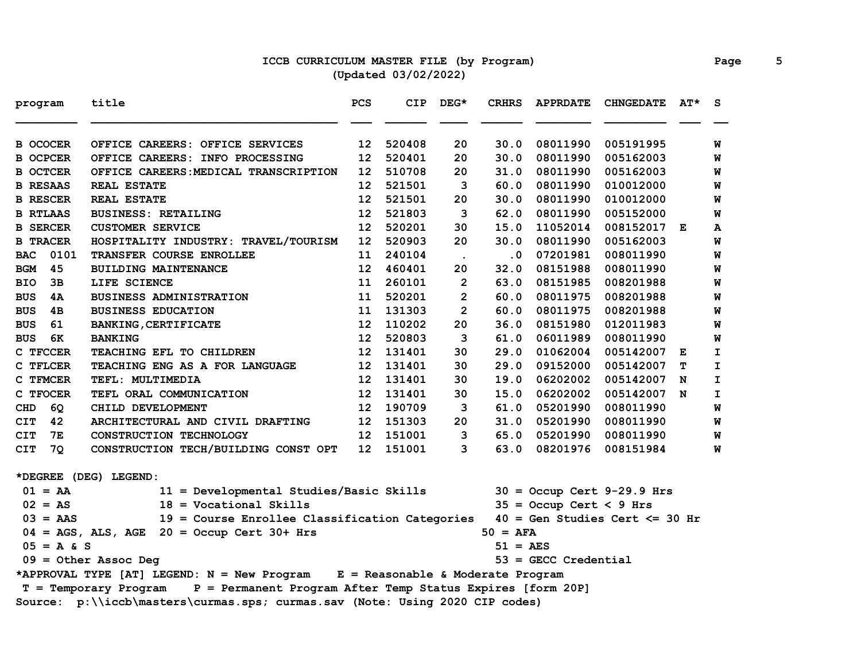# **ICCB CURRICULUM MASTER FILE (by Program) Page 5 (Updated 03/02/2022)**

| program                                                                             | title                                                                         | PCS                                                                          | <b>CIP</b> | $DEG*$               | <b>CRHRS</b>      | <b>APPRDATE</b>           | <b>CHNGEDATE</b>                  | AT* | S |
|-------------------------------------------------------------------------------------|-------------------------------------------------------------------------------|------------------------------------------------------------------------------|------------|----------------------|-------------------|---------------------------|-----------------------------------|-----|---|
| <b>B OCOCER</b>                                                                     | OFFICE CAREERS: OFFICE SERVICES                                               | 12                                                                           | 520408     | 20                   | 30.0              | 08011990                  | 005191995                         |     | W |
| <b>B OCPCER</b>                                                                     | OFFICE CAREERS: INFO PROCESSING                                               | 12                                                                           | 520401     | 20                   | 30.0              | 08011990                  | 005162003                         |     | W |
| <b>B OCTCER</b>                                                                     | OFFICE CAREERS: MEDICAL TRANSCRIPTION                                         | 12                                                                           | 510708     | 20                   | 31.0              | 08011990                  | 005162003                         |     | W |
| <b>B RESAAS</b>                                                                     | <b>REAL ESTATE</b>                                                            | 12                                                                           | 521501     | 3                    | 60.0              | 08011990                  | 010012000                         |     | W |
| <b>B RESCER</b>                                                                     | <b>REAL ESTATE</b>                                                            | 12                                                                           | 521501     | 20                   | 30.0              | 08011990                  | 010012000                         |     | W |
| <b>B RTLAAS</b>                                                                     | <b>BUSINESS: RETAILING</b>                                                    | 12                                                                           | 521803     | 3                    | 62.0              | 08011990                  | 005152000                         |     | W |
| <b>B SERCER</b>                                                                     | <b>CUSTOMER SERVICE</b>                                                       | 12                                                                           | 520201     | 30                   | 15.0              | 11052014                  | 008152017 E                       |     | A |
| <b>B TRACER</b>                                                                     | HOSPITALITY INDUSTRY: TRAVEL/TOURISM                                          | 12                                                                           | 520903     | 20                   | 30.0              | 08011990                  | 005162003                         |     | W |
| 0101<br><b>BAC</b>                                                                  | TRANSFER COURSE ENROLLEE                                                      | 11                                                                           | 240104     | $\ddot{\phantom{a}}$ | $\cdot$ 0         | 07201981                  | 008011990                         |     | W |
| 45<br><b>BGM</b>                                                                    | <b>BUILDING MAINTENANCE</b>                                                   | 12                                                                           | 460401     | 20                   | 32.0              | 08151988                  | 008011990                         |     | W |
| BIO<br>3в                                                                           | LIFE SCIENCE                                                                  | 11                                                                           | 260101     | $\mathbf{2}$         | 63.0              | 08151985                  | 008201988                         |     | W |
| <b>BUS</b><br>4A                                                                    | <b>BUSINESS ADMINISTRATION</b>                                                | 11                                                                           | 520201     | $\overline{2}$       | 60.0              | 08011975                  | 008201988                         |     | W |
| <b>BUS</b><br>4B                                                                    | <b>BUSINESS EDUCATION</b>                                                     | 11                                                                           | 131303     | $\overline{2}$       | 60.0              | 08011975                  | 008201988                         |     | W |
| <b>BUS</b><br>61                                                                    | <b>BANKING, CERTIFICATE</b>                                                   | 12                                                                           | 110202     | 20                   | 36.0              | 08151980                  | 012011983                         |     | W |
| 6K<br><b>BUS</b>                                                                    | <b>BANKING</b>                                                                | 12                                                                           | 520803     | 3                    | 61.0              | 06011989                  | 008011990                         |     | W |
| C TFCCER                                                                            | TEACHING EFL TO CHILDREN                                                      | 12                                                                           | 131401     | 30                   | 29.0              | 01062004                  | 005142007                         | Е   | I |
| C TFLCER                                                                            | TEACHING ENG AS A FOR LANGUAGE                                                | 12                                                                           | 131401     | 30                   | 29.0              | 09152000                  | 005142007                         | т   | I |
| C TFMCER                                                                            | TEFL: MULTIMEDIA                                                              | 12                                                                           | 131401     | 30                   | 19.0              | 06202002                  | 005142007                         | N   | I |
| C TFOCER                                                                            | TEFL ORAL COMMUNICATION                                                       | 12                                                                           | 131401     | 30                   | 15.0              | 06202002                  | 005142007                         | N   | I |
| 6Q<br>CHD                                                                           | CHILD DEVELOPMENT                                                             | 12                                                                           | 190709     | 3                    | 61.0              | 05201990                  | 008011990                         |     | W |
| 42<br><b>CIT</b>                                                                    | ARCHITECTURAL AND CIVIL DRAFTING                                              | 12 <sup>2</sup>                                                              | 151303     | 20                   | 31.0              | 05201990                  | 008011990                         |     | W |
| 7E<br><b>CIT</b>                                                                    | CONSTRUCTION TECHNOLOGY                                                       | 12                                                                           | 151001     | 3                    | 65.0              | 05201990                  | 008011990                         |     | W |
| CIT<br>7Q                                                                           | CONSTRUCTION TECH/BUILDING CONST OPT                                          | 12                                                                           | 151001     | 3                    | 63.0              | 08201976                  | 008151984                         |     | W |
|                                                                                     | *DEGREE (DEG) LEGEND:                                                         |                                                                              |            |                      |                   |                           |                                   |     |   |
| $01 = AA$                                                                           | 11 = Developmental Studies/Basic Skills                                       |                                                                              |            |                      |                   |                           | $30 =$ Occup Cert 9-29.9 Hrs      |     |   |
| $02 = AS$                                                                           | $18 = Vocational Skills$                                                      |                                                                              |            |                      |                   | $35 =$ Occup Cert < 9 Hrs |                                   |     |   |
| $03 = AAS$                                                                          | 19 = Course Enrollee Classification Categories                                |                                                                              |            |                      |                   |                           | $40 = Gen Studies Cert \le 30 hr$ |     |   |
|                                                                                     | $04 = AGS$ , ALS, AGE 20 = Occup Cert 30+ Hrs                                 |                                                                              |            |                      | $50 = AFA$        |                           |                                   |     |   |
| $05 = A & S$                                                                        |                                                                               |                                                                              |            |                      | $51 = \text{AES}$ |                           |                                   |     |   |
|                                                                                     | $09 = 0$ ther Assoc Deg                                                       |                                                                              |            |                      |                   | $53$ = GECC Credential    |                                   |     |   |
|                                                                                     | *APPROVAL TYPE [AT] LEGEND: N = New Program E = Reasonable & Moderate Program |                                                                              |            |                      |                   |                           |                                   |     |   |
| P = Permanent Program After Temp Status Expires [form 20P]<br>T = Temporary Program |                                                                               |                                                                              |            |                      |                   |                           |                                   |     |   |
|                                                                                     |                                                                               | Source: p:\\iccb\masters\curmas.sps; curmas.sav (Note: Using 2020 CIP codes) |            |                      |                   |                           |                                   |     |   |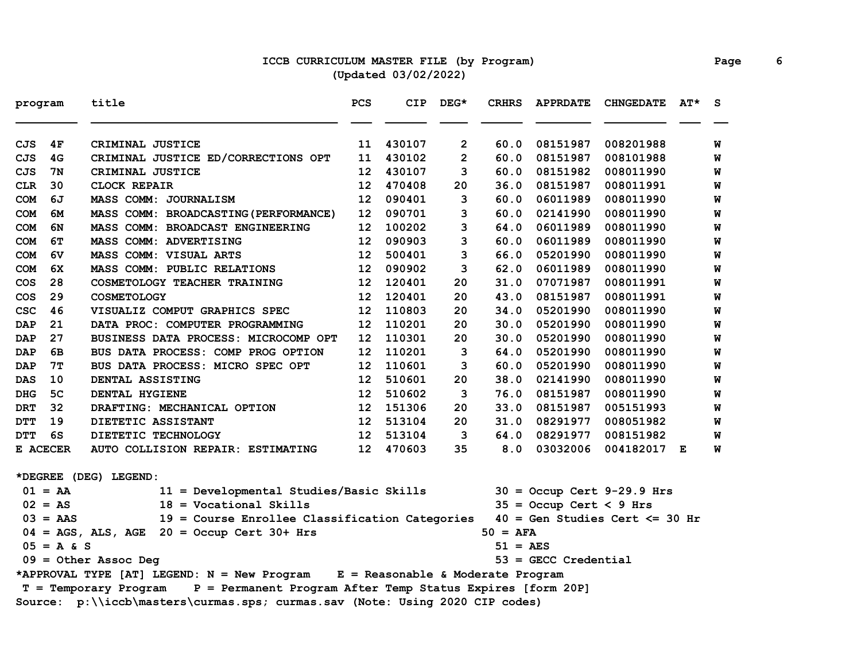## **ICCB CURRICULUM MASTER FILE (by Program) Page 6 (Updated 03/02/2022)**

| program                                                                      |                | title                                                                         | PCS              | <b>CIP</b> | $DEG*$         | <b>CRHRS</b> | <b>APPRDATE</b>           | <b>CHNGEDATE</b>                  | $AT^{\star}$ | S. |
|------------------------------------------------------------------------------|----------------|-------------------------------------------------------------------------------|------------------|------------|----------------|--------------|---------------------------|-----------------------------------|--------------|----|
| CJS                                                                          | 4F             | CRIMINAL JUSTICE                                                              | 11               | 430107     | 2              | 60.0         | 08151987                  | 008201988                         |              | W  |
| <b>CJS</b>                                                                   | 4G             | CRIMINAL JUSTICE ED/CORRECTIONS OPT                                           | 11               | 430102     | $\overline{2}$ | 60.0         | 08151987                  | 008101988                         |              | W  |
| <b>CJS</b>                                                                   | 7N             | CRIMINAL JUSTICE                                                              | 12               | 430107     | 3              | 60.0         | 08151982                  | 008011990                         |              | W  |
| <b>CLR</b>                                                                   | 30             | <b>CLOCK REPAIR</b>                                                           | 12               | 470408     | 20             | 36.0         | 08151987                  | 008011991                         |              | W  |
| <b>COM</b>                                                                   | 6J             | <b>MASS COMM: JOURNALISM</b>                                                  | 12               | 090401     | 3              | 60.0         | 06011989                  | 008011990                         |              | W  |
| <b>COM</b>                                                                   | 6м             | MASS COMM: BROADCASTING (PERFORMANCE)                                         | 12               | 090701     | 3              | 60.0         | 02141990                  | 008011990                         |              | W  |
| <b>COM</b>                                                                   | 6N             | MASS COMM: BROADCAST ENGINEERING                                              | 12               | 100202     | 3              | 64.0         | 06011989                  | 008011990                         |              | W  |
| <b>COM</b>                                                                   | 6т             | MASS COMM: ADVERTISING                                                        | 12               | 090903     | 3              | 60.0         | 06011989                  | 008011990                         |              | W  |
| <b>COM</b>                                                                   | 6V             | <b>MASS COMM: VISUAL ARTS</b>                                                 | 12               | 500401     | 3              | 66.0         | 05201990                  | 008011990                         |              | W  |
| <b>COM</b>                                                                   | 6X             | MASS COMM: PUBLIC RELATIONS                                                   | 12               | 090902     | 3              | 62.0         | 06011989                  | 008011990                         |              | W  |
| COS                                                                          | 28             | COSMETOLOGY TEACHER TRAINING                                                  | 12 <sup>1</sup>  | 120401     | 20             | 31.0         | 07071987                  | 008011991                         |              | W  |
| <b>COS</b>                                                                   | 29             | <b>COSMETOLOGY</b>                                                            | 12               | 120401     | 20             | 43.0         | 08151987                  | 008011991                         |              | W  |
| <b>CSC</b>                                                                   | 46             | VISUALIZ COMPUT GRAPHICS SPEC                                                 | 12 <sup>2</sup>  | 110803     | 20             | 34.0         | 05201990                  | 008011990                         |              | W  |
| <b>DAP</b>                                                                   | 21             | DATA PROC: COMPUTER PROGRAMMING                                               | 12 <sup>2</sup>  | 110201     | 20             | 30.0         | 05201990                  | 008011990                         |              | W  |
| <b>DAP</b>                                                                   | 27             | BUSINESS DATA PROCESS: MICROCOMP OPT                                          | 12 <sup>2</sup>  | 110301     | 20             | 30.0         | 05201990                  | 008011990                         |              | W  |
| <b>DAP</b>                                                                   | 6В             | BUS DATA PROCESS: COMP PROG OPTION                                            | 12               | 110201     | 3              | 64.0         | 05201990                  | 008011990                         |              | W  |
| <b>DAP</b>                                                                   | 7T             | BUS DATA PROCESS: MICRO SPEC OPT                                              | 12               | 110601     | 3              | 60.0         | 05201990                  | 008011990                         |              | W  |
| <b>DAS</b>                                                                   | 10             | DENTAL ASSISTING                                                              | 12               | 510601     | 20             | 38.0         | 02141990                  | 008011990                         |              | W  |
| <b>DHG</b>                                                                   | 5 <sub>C</sub> | <b>DENTAL HYGIENE</b>                                                         | 12               | 510602     | 3              | 76.0         | 08151987                  | 008011990                         |              | W  |
| <b>DRT</b>                                                                   | 32             | DRAFTING: MECHANICAL OPTION                                                   | 12 <sup>12</sup> | 151306     | 20             | 33.0         | 08151987                  | 005151993                         |              | W  |
| <b>DTT</b>                                                                   | 19             | DIETETIC ASSISTANT                                                            | 12 <sup>1</sup>  | 513104     | 20             | 31.0         | 08291977                  | 008051982                         |              | W  |
| DTT                                                                          | 6S             | DIETETIC TECHNOLOGY                                                           | 12               | 513104     | 3              | 64.0         | 08291977                  | 008151982                         |              | W  |
|                                                                              | E ACECER       | AUTO COLLISION REPAIR: ESTIMATING                                             | 12 <sup>1</sup>  | 470603     | 35             | 8.0          | 03032006                  | 004182017 E                       |              | W  |
|                                                                              |                | *DEGREE (DEG) LEGEND:                                                         |                  |            |                |              |                           |                                   |              |    |
|                                                                              | $01 = AA$      | 11 = Developmental Studies/Basic Skills                                       |                  |            |                |              |                           | $30 =$ Occup Cert 9-29.9 Hrs      |              |    |
|                                                                              | $02 = AS$      | $18 = Vocational$ Skills                                                      |                  |            |                |              | $35 =$ Occup Cert < 9 Hrs |                                   |              |    |
|                                                                              | $03 = AAS$     | 19 = Course Enrollee Classification Categories                                |                  |            |                |              |                           | $40 = Gen Studies Cert \le 30 hr$ |              |    |
|                                                                              |                | $04 = AGS$ , ALS, AGE $20 = Occup$ Cert 30+ Hrs                               |                  |            |                | $50 = AFA$   |                           |                                   |              |    |
|                                                                              | $05 = A & S$   |                                                                               |                  |            |                | 51 = AES     |                           |                                   |              |    |
| $09 = 0$ ther Assoc Deg                                                      |                |                                                                               |                  |            |                |              | $53 =$ GECC Credential    |                                   |              |    |
|                                                                              |                | *APPROVAL TYPE [AT] LEGEND: N = New Program E = Reasonable & Moderate Program |                  |            |                |              |                           |                                   |              |    |
|                                                                              |                |                                                                               |                  |            |                |              |                           |                                   |              |    |
| Source: p:\\iccb\masters\curmas.sps; curmas.sav (Note: Using 2020 CIP codes) |                |                                                                               |                  |            |                |              |                           |                                   |              |    |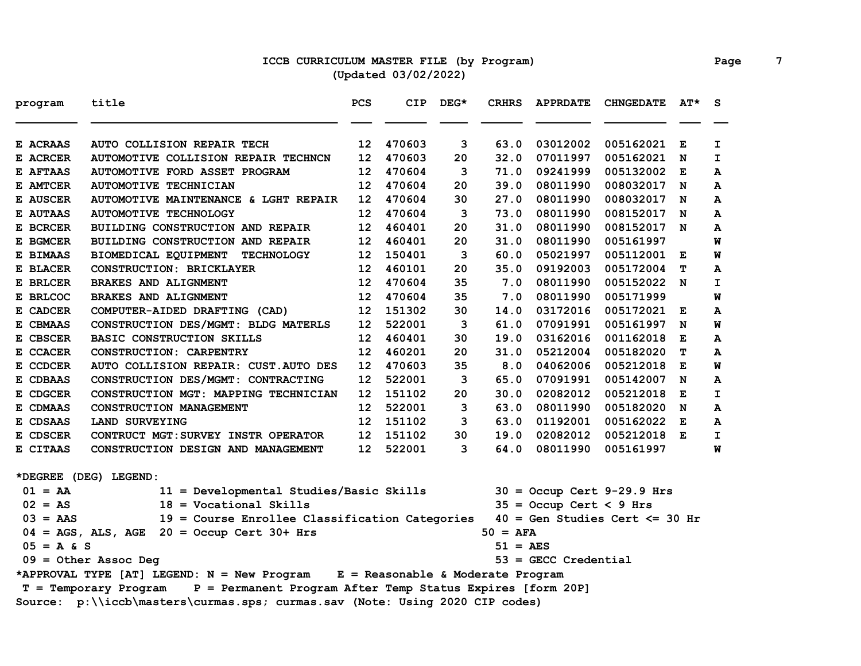## **ICCB CURRICULUM MASTER FILE (by Program) Page 7 (Updated 03/02/2022)**

| program      | title                                                                               | PCS | <b>CIP</b> | $DEG*$ | <b>CRHRS</b>      | <b>APPRDATE</b>           | <b>CHNGEDATE</b>                  | $AT^{\star}$ | S            |  |
|--------------|-------------------------------------------------------------------------------------|-----|------------|--------|-------------------|---------------------------|-----------------------------------|--------------|--------------|--|
| E ACRAAS     | AUTO COLLISION REPAIR TECH                                                          | 12  | 470603     | 3      | 63.0              | 03012002                  | 005162021                         | Е            | I.           |  |
| E ACRCER     | <b>AUTOMOTIVE COLLISION REPAIR TECHNCN</b>                                          | 12  | 470603     | 20     | 32.0              | 07011997                  | 005162021                         | N            | $\mathbf{I}$ |  |
| E AFTAAS     | <b>AUTOMOTIVE FORD ASSET PROGRAM</b>                                                | 12  | 470604     | 3      | 71.0              | 09241999                  | 005132002                         | Е            | A            |  |
| E AMTCER     | <b>AUTOMOTIVE TECHNICIAN</b>                                                        | 12  | 470604     | 20     | 39.0              | 08011990                  | 008032017                         | N            | A            |  |
| E AUSCER     | AUTOMOTIVE MAINTENANCE & LGHT REPAIR                                                | 12  | 470604     | 30     | 27.0              | 08011990                  | 008032017                         | N            | A            |  |
| E AUTAAS     | <b>AUTOMOTIVE TECHNOLOGY</b>                                                        | 12  | 470604     | 3      | 73.0              | 08011990                  | 008152017                         | N            | A            |  |
| E BCRCER     | BUILDING CONSTRUCTION AND REPAIR                                                    | 12  | 460401     | 20     | 31.0              | 08011990                  | 008152017 N                       |              | A            |  |
| E BGMCER     | BUILDING CONSTRUCTION AND REPAIR                                                    | 12  | 460401     | 20     | 31.0              | 08011990                  | 005161997                         |              | W            |  |
| E BIMAAS     | BIOMEDICAL EQUIPMENT<br><b>TECHNOLOGY</b>                                           | 12  | 150401     | 3      | 60.0              | 05021997                  | 005112001                         | E            | W            |  |
| E BLACER     | CONSTRUCTION: BRICKLAYER                                                            | 12  | 460101     | 20     | 35.0              | 09192003                  | 005172004                         | т            | A            |  |
| E BRLCER     | <b>BRAKES AND ALIGNMENT</b>                                                         | 12  | 470604     | 35     | 7.0               | 08011990                  | 005152022 N                       |              | I            |  |
| E BRLCOC     | <b>BRAKES AND ALIGNMENT</b>                                                         | 12  | 470604     | 35     | 7.0               | 08011990                  | 005171999                         |              | M            |  |
| E CADCER     | COMPUTER-AIDED DRAFTING (CAD)                                                       | 12  | 151302     | 30     | 14.0              | 03172016                  | 005172021                         | Е            | A            |  |
| E CBMAAS     | CONSTRUCTION DES/MGMT: BLDG MATERLS                                                 | 12  | 522001     | 3      | 61.0              | 07091991                  | 005161997                         | N            | W            |  |
| E CBSCER     | <b>BASIC CONSTRUCTION SKILLS</b>                                                    | 12  | 460401     | 30     | 19.0              | 03162016                  | 001162018                         | Е            | A            |  |
| E CCACER     | <b>CONSTRUCTION: CARPENTRY</b>                                                      | 12  | 460201     | 20     | 31.0              | 05212004                  | 005182020                         | т            | A            |  |
| E CCDCER     | AUTO COLLISION REPAIR: CUST.AUTO DES                                                | 12  | 470603     | 35     | 8.0               | 04062006                  | 005212018                         | E            | W            |  |
| E CDBAAS     | CONSTRUCTION DES/MGMT: CONTRACTING                                                  | 12  | 522001     | 3      | 65.0              | 07091991                  | 005142007                         | N            | A            |  |
| E CDGCER     | CONSTRUCTION MGT: MAPPING TECHNICIAN                                                | 12  | 151102     | 20     | 30.0              | 02082012                  | 005212018                         | Е            | I.           |  |
| E CDMAAS     | CONSTRUCTION MANAGEMENT                                                             | 12  | 522001     | 3      | 63.0              | 08011990                  | 005182020                         | N            | A            |  |
| E CDSAAS     | LAND SURVEYING                                                                      | 12  | 151102     | 3      | 63.0              | 01192001                  | 005162022                         | Е            | A            |  |
| E CDSCER     | CONTRUCT MGT: SURVEY INSTR OPERATOR                                                 | 12  | 151102     | 30     | 19.0              | 02082012                  | 005212018 E                       |              | I            |  |
| E CITAAS     | CONSTRUCTION DESIGN AND MANAGEMENT                                                  | 12  | 522001     | 3      | 64.0              | 08011990                  | 005161997                         |              | W            |  |
|              | *DEGREE (DEG) LEGEND:                                                               |     |            |        |                   |                           |                                   |              |              |  |
| $01 = AA$    | 11 = Developmental Studies/Basic Skills                                             |     |            |        |                   |                           | $30 =$ Occup Cert 9-29.9 Hrs      |              |              |  |
| $02 = AS$    | $18 = Vocational Skills$                                                            |     |            |        |                   | $35 =$ Occup Cert < 9 Hrs |                                   |              |              |  |
| $03 = AAS$   | 19 = Course Enrollee Classification Categories                                      |     |            |        |                   |                           | $40 = Gen Studies Cert \le 30 hr$ |              |              |  |
|              | $04 = AGS$ , ALS, AGE 20 = Occup Cert 30+ Hrs                                       |     |            |        | $50 = AFA$        |                           |                                   |              |              |  |
| $05 = A & S$ |                                                                                     |     |            |        | $51 = \text{AES}$ |                           |                                   |              |              |  |
|              | $09 =$ Other Assoc Deg                                                              |     |            |        |                   | $53$ = GECC Credential    |                                   |              |              |  |
|              | *APPROVAL TYPE [AT] LEGEND: N = New Program E = Reasonable & Moderate Program       |     |            |        |                   |                           |                                   |              |              |  |
|              | P = Permanent Program After Temp Status Expires [form 20P]<br>T = Temporary Program |     |            |        |                   |                           |                                   |              |              |  |
|              | Source: p:\\iccb\masters\curmas.sps; curmas.sav (Note: Using 2020 CIP codes)        |     |            |        |                   |                           |                                   |              |              |  |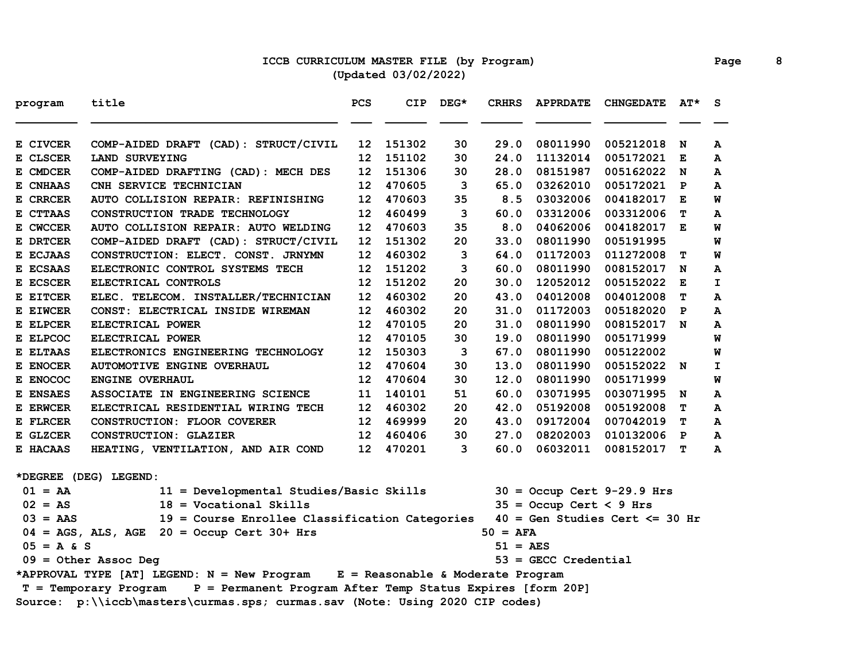### **ICCB CURRICULUM MASTER FILE (by Program) Page 8 (Updated 03/02/2022)**

| program      | title                                                                               | PCS | <b>CIP</b> | $DEG*$ | <b>CRHRS</b> | <b>APPRDATE</b>           | <b>CHNGEDATE</b>                   | $AT^{\star}$ | -S |
|--------------|-------------------------------------------------------------------------------------|-----|------------|--------|--------------|---------------------------|------------------------------------|--------------|----|
| E CIVCER     | COMP-AIDED DRAFT (CAD): STRUCT/CIVIL                                                | 12  | 151302     | 30     | 29.0         | 08011990                  | 005212018                          | N            | A  |
| E CLSCER     | LAND SURVEYING                                                                      | 12  | 151102     | 30     | 24.0         | 11132014                  | 005172021                          | Е            | A  |
| E CMDCER     | COMP-AIDED DRAFTING (CAD): MECH DES                                                 | 12  | 151306     | 30     | 28.0         | 08151987                  | 005162022 N                        |              | A  |
| E CNHAAS     | CNH SERVICE TECHNICIAN                                                              | 12  | 470605     | 3      | 65.0         | 03262010                  | 005172021                          | P            | A  |
| E CRRCER     | AUTO COLLISION REPAIR: REFINISHING                                                  | 12  | 470603     | 35     | 8.5          | 03032006                  | 004182017                          | Е            | M  |
| E CTTAAS     | CONSTRUCTION TRADE TECHNOLOGY                                                       | 12  | 460499     | 3      | 60.0         | 03312006                  | 003312006                          | т            | A  |
| E CWCCER     | AUTO COLLISION REPAIR: AUTO WELDING                                                 | 12  | 470603     | 35     | 8.0          | 04062006                  | 004182017                          | Е            | W  |
| E DRTCER     | COMP-AIDED DRAFT (CAD): STRUCT/CIVIL                                                | 12  | 151302     | 20     | 33.0         | 08011990                  | 005191995                          |              | W  |
| E ECJAAS     | CONSTRUCTION: ELECT. CONST. JRNYMN                                                  | 12  | 460302     | 3      | 64.0         | 01172003                  | 011272008                          | т            | W  |
| E ECSAAS     | ELECTRONIC CONTROL SYSTEMS TECH                                                     | 12  | 151202     | 3      | 60.0         | 08011990                  | 008152017                          | N            | A  |
| E ECSCER     | ELECTRICAL CONTROLS                                                                 | 12  | 151202     | 20     | 30.0         | 12052012                  | 005152022                          | Е            | I. |
| E EITCER     | ELEC. TELECOM. INSTALLER/TECHNICIAN                                                 | 12  | 460302     | 20     | 43.0         | 04012008                  | 004012008                          | т            | А  |
| E EIWCER     | CONST: ELECTRICAL INSIDE WIREMAN                                                    | 12  | 460302     | 20     | 31.0         | 01172003                  | 005182020                          | $\mathbf{P}$ | A  |
| E ELPCER     | ELECTRICAL POWER                                                                    | 12  | 470105     | 20     | 31.0         | 08011990                  | 008152017 N                        |              | A  |
| E ELPCOC     | ELECTRICAL POWER                                                                    | 12  | 470105     | 30     | 19.0         | 08011990                  | 005171999                          |              | W  |
| E ELTAAS     | ELECTRONICS ENGINEERING TECHNOLOGY                                                  | 12  | 150303     | 3      | 67.0         | 08011990                  | 005122002                          |              | W  |
| E ENOCER     | <b>AUTOMOTIVE ENGINE OVERHAUL</b>                                                   | 12  | 470604     | 30     | 13.0         | 08011990                  | 005152022 N                        |              | I  |
| E ENOCOC     | <b>ENGINE OVERHAUL</b>                                                              | 12  | 470604     | 30     | 12.0         | 08011990                  | 005171999                          |              | W  |
| E ENSAES     | ASSOCIATE IN ENGINEERING SCIENCE                                                    | 11  | 140101     | 51     | 60.0         | 03071995                  | 003071995                          | N            | A  |
| E ERWCER     | ELECTRICAL RESIDENTIAL WIRING TECH                                                  | 12  | 460302     | 20     | 42.0         | 05192008                  | 005192008                          | т            | A  |
| E FLRCER     | CONSTRUCTION: FLOOR COVERER                                                         | 12  | 469999     | 20     | 43.0         | 09172004                  | 007042019                          | т            | A  |
| E GLZCER     | <b>CONSTRUCTION: GLAZIER</b>                                                        | 12  | 460406     | 30     | 27.0         | 08202003                  | 010132006                          | $\mathbf{P}$ | A  |
| E HACAAS     | HEATING, VENTILATION, AND AIR COND                                                  | 12  | 470201     | 3      | 60.0         | 06032011                  | 008152017                          | т            | A  |
|              | *DEGREE (DEG) LEGEND:                                                               |     |            |        |              |                           |                                    |              |    |
| $01 = AA$    | 11 = Developmental Studies/Basic Skills                                             |     |            |        |              |                           | $30 =$ Occup Cert 9-29.9 Hrs       |              |    |
| $02 = AS$    | $18 = Vocational$ Skills                                                            |     |            |        |              | $35 =$ Occup Cert < 9 Hrs |                                    |              |    |
| $03 = AAS$   | 19 = Course Enrollee Classification Categories                                      |     |            |        |              |                           | $40 = Gen Studies Cert \leq 30 Hr$ |              |    |
|              | $04 = AGS$ , ALS, AGE $20 = Occup$ Cert 30+ Hrs                                     |     |            |        | $50 = AFA$   |                           |                                    |              |    |
| $05 = A & S$ |                                                                                     |     |            |        | 51 = AES     |                           |                                    |              |    |
|              | $09 = 0$ ther Assoc Deg                                                             |     |            |        |              | $53 =$ GECC Credential    |                                    |              |    |
|              | *APPROVAL TYPE [AT] LEGEND: N = New Program E = Reasonable & Moderate Program       |     |            |        |              |                           |                                    |              |    |
|              | P = Permanent Program After Temp Status Expires [form 20P]<br>T = Temporary Program |     |            |        |              |                           |                                    |              |    |
|              | Source: p:\\iccb\masters\curmas.sps; curmas.sav (Note: Using 2020 CIP codes)        |     |            |        |              |                           |                                    |              |    |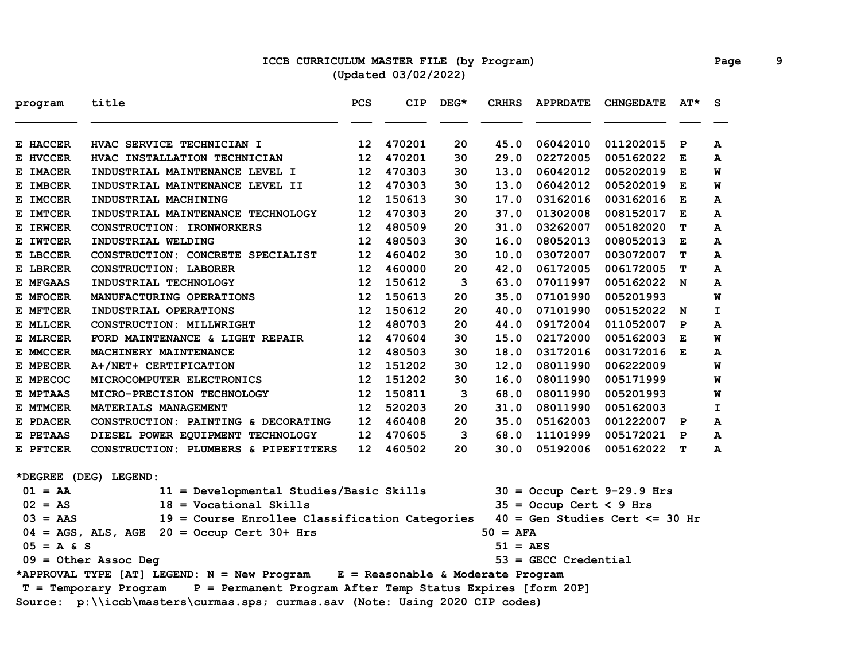## **ICCB CURRICULUM MASTER FILE (by Program) Page 9 (Updated 03/02/2022)**

| program      | title                                                                               | PCS             | <b>CIP</b> | $DEG*$ | <b>CRHRS</b>          | <b>APPRDATE</b>           | <b>CHNGEDATE</b>                  | $AT^{\star}$ | S           |
|--------------|-------------------------------------------------------------------------------------|-----------------|------------|--------|-----------------------|---------------------------|-----------------------------------|--------------|-------------|
| E HACCER     | HVAC SERVICE TECHNICIAN I                                                           | 12              | 470201     | 20     | 45.0                  | 06042010                  | 011202015                         | P            | A           |
| E HVCCER     | HVAC INSTALLATION TECHNICIAN                                                        | 12 <sub>1</sub> | 470201     | 30     | 29.0                  | 02272005                  | 005162022                         | Е            | A           |
| E IMACER     | INDUSTRIAL MAINTENANCE LEVEL I                                                      | 12              | 470303     | 30     | 13.0                  | 06042012                  | 005202019                         | Е            | W           |
| E IMBCER     | INDUSTRIAL MAINTENANCE LEVEL II                                                     | 12              | 470303     | 30     | 13.0                  | 06042012                  | 005202019                         | E            | W           |
| E IMCCER     | INDUSTRIAL MACHINING                                                                | 12              | 150613     | 30     | 17.0                  | 03162016                  | 003162016                         | E            | A           |
| E IMTCER     | INDUSTRIAL MAINTENANCE TECHNOLOGY                                                   | 12              | 470303     | 20     | 37.0                  | 01302008                  | 008152017                         | Е            | A           |
| E IRWCER     | CONSTRUCTION: IRONWORKERS                                                           | 12              | 480509     | 20     | 31.0                  | 03262007                  | 005182020                         | т            | A           |
| E IWTCER     | INDUSTRIAL WELDING                                                                  | 12              | 480503     | 30     | 16.0                  | 08052013                  | 008052013                         | E            | A           |
| E LBCCER     | CONSTRUCTION: CONCRETE SPECIALIST                                                   | 12              | 460402     | 30     | 10.0                  | 03072007                  | 003072007                         | T            | A           |
| E LBRCER     | <b>CONSTRUCTION: LABORER</b>                                                        | 12              | 460000     | 20     | 42.0                  | 06172005                  | 006172005                         | т            | A           |
| E MFGAAS     | INDUSTRIAL TECHNOLOGY                                                               | 12              | 150612     | 3      | 63.0                  | 07011997                  | 005162022 N                       |              | А           |
| E MFOCER     | MANUFACTURING OPERATIONS                                                            | 12              | 150613     | 20     | 35.0                  | 07101990                  | 005201993                         |              | M           |
| E MFTCER     | INDUSTRIAL OPERATIONS                                                               | 12              | 150612     | 20     | 40.0                  | 07101990                  | 005152022                         | N            | I.          |
| E MLLCER     | CONSTRUCTION: MILLWRIGHT                                                            | 12              | 480703     | 20     | 44.0                  | 09172004                  | 011052007                         | $\mathbf{P}$ | A           |
| E MLRCER     | FORD MAINTENANCE & LIGHT REPAIR                                                     | 12              | 470604     | 30     | 15.0                  | 02172000                  | 005162003                         | Е            | W           |
| E MMCCER     | MACHINERY MAINTENANCE                                                               | 12              | 480503     | 30     | 18.0                  | 03172016                  | 003172016 E                       |              | A           |
| E MPECER     | A+/NET+ CERTIFICATION                                                               | 12 <sub>1</sub> | 151202     | 30     | 12.0                  | 08011990                  | 006222009                         |              | W           |
| E MPECOC     | MICROCOMPUTER ELECTRONICS                                                           | 12              | 151202     | 30     | 16.0                  | 08011990                  | 005171999                         |              | W           |
| E MPTAAS     | MICRO-PRECISION TECHNOLOGY                                                          | 12 <sub>2</sub> | 150811     | 3      | 68.0                  | 08011990                  | 005201993                         |              | W           |
| E MTMCER     | MATERIALS MANAGEMENT                                                                | 12 <sub>2</sub> | 520203     | 20     | 31.0                  | 08011990                  | 005162003                         |              | $\mathbf I$ |
| E PDACER     | CONSTRUCTION: PAINTING & DECORATING                                                 | 12              | 460408     | 20     | 35.0                  | 05162003                  | 001222007 P                       |              | A           |
| E PETAAS     | DIESEL POWER EQUIPMENT TECHNOLOGY                                                   | 12              | 470605     | 3      | 68.0                  | 11101999                  | 005172021 P                       |              | A           |
| E PFTCER     | CONSTRUCTION: PLUMBERS & PIPEFITTERS                                                | 12              | 460502     | 20     | 30.0                  | 05192006                  | 005162022                         | т            | A           |
|              | *DEGREE (DEG) LEGEND:                                                               |                 |            |        |                       |                           |                                   |              |             |
| $01 = AA$    | 11 = Developmental Studies/Basic Skills                                             |                 |            |        |                       |                           | $30 =$ Occup Cert 9-29.9 Hrs      |              |             |
| $02 = AS$    | $18 = Vocational$ Skills                                                            |                 |            |        |                       | $35 =$ Occup Cert < 9 Hrs |                                   |              |             |
| $03 = AAS$   | 19 = Course Enrollee Classification Categories                                      |                 |            |        |                       |                           | $40 = Gen Studies Cert \le 30 hr$ |              |             |
|              | $04 = AGS$ , ALS, AGE $20 = Occup$ Cert 30+ Hrs                                     |                 |            |        | $50 = AFA$            |                           |                                   |              |             |
| $05 = A & S$ |                                                                                     |                 |            |        | $51 = \overline{AES}$ |                           |                                   |              |             |
|              | $09 = 0$ ther Assoc Deg                                                             |                 |            |        |                       | $53 =$ GECC Credential    |                                   |              |             |
|              | *APPROVAL TYPE [AT] LEGEND: N = New Program E = Reasonable & Moderate Program       |                 |            |        |                       |                           |                                   |              |             |
|              | P = Permanent Program After Temp Status Expires [form 20P]<br>T = Temporary Program |                 |            |        |                       |                           |                                   |              |             |
|              | Source: p:\\iccb\masters\curmas.sps; curmas.sav (Note: Using 2020 CIP codes)        |                 |            |        |                       |                           |                                   |              |             |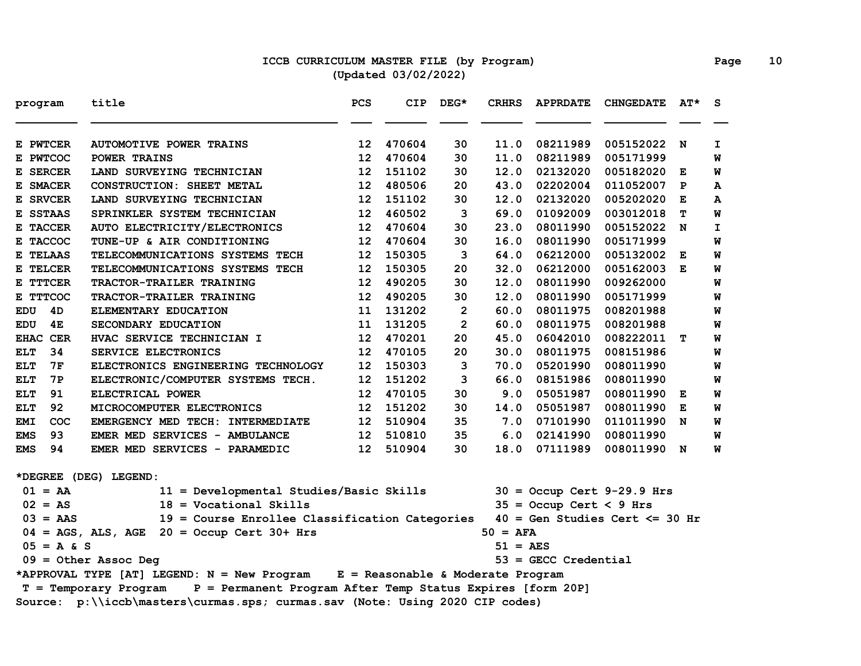### **ICCB CURRICULUM MASTER FILE (by Program) Page 10 (Updated 03/02/2022)**

| program           | title                                                                               | PCS             | <b>CIP</b> | $DEG*$         | <b>CRHRS</b>      | <b>APPRDATE</b>           | <b>CHNGEDATE</b>                  | $AT^{\star}$ | S.           |
|-------------------|-------------------------------------------------------------------------------------|-----------------|------------|----------------|-------------------|---------------------------|-----------------------------------|--------------|--------------|
| E PWTCER          | <b>AUTOMOTIVE POWER TRAINS</b>                                                      | 12 <sup>2</sup> | 470604     | 30             | 11.0              | 08211989                  | 005152022                         | $\mathbf N$  | I.           |
| E PWTCOC          | POWER TRAINS                                                                        | 12              | 470604     | 30             | 11.0              | 08211989                  | 005171999                         |              | W            |
| E SERCER          | LAND SURVEYING TECHNICIAN                                                           | 12              | 151102     | 30             | 12.0              | 02132020                  | 005182020                         | Е            | W            |
| E SMACER          | CONSTRUCTION: SHEET METAL                                                           | 12              | 480506     | 20             | 43.0              | 02202004                  | 011052007                         | $\mathbf{P}$ | A            |
| E SRVCER          | LAND SURVEYING TECHNICIAN                                                           | 12              | 151102     | 30             | 12.0              | 02132020                  | 005202020                         | Е            | A            |
| E SSTAAS          | SPRINKLER SYSTEM TECHNICIAN                                                         | 12              | 460502     | 3              | 69.0              | 01092009                  | 003012018                         | т            | W            |
| E TACCER          | AUTO ELECTRICITY/ELECTRONICS                                                        | 12              | 470604     | 30             | 23.0              | 08011990                  | 005152022 N                       |              | $\mathbf{I}$ |
| E TACCOC          | TUNE-UP & AIR CONDITIONING                                                          | 12              | 470604     | 30             | 16.0              | 08011990                  | 005171999                         |              | W            |
| E TELAAS          | TELECOMMUNICATIONS SYSTEMS TECH                                                     | 12              | 150305     | 3              | 64.0              | 06212000                  | 005132002                         | Е            | W            |
| E TELCER          | TELECOMMUNICATIONS SYSTEMS TECH                                                     | 12              | 150305     | 20             | 32.0              | 06212000                  | 005162003                         | E            | W            |
| E TTTCER          | TRACTOR-TRAILER TRAINING                                                            | 12              | 490205     | 30             | 12.0              | 08011990                  | 009262000                         |              | W            |
| E TTTCOC          | TRACTOR-TRAILER TRAINING                                                            | 12              | 490205     | 30             | 12.0              | 08011990                  | 005171999                         |              | W            |
| 4D<br>EDU         | ELEMENTARY EDUCATION                                                                | 11              | 131202     | $\overline{2}$ | 60.0              | 08011975                  | 008201988                         |              | W            |
| <b>EDU</b><br>4E  | SECONDARY EDUCATION                                                                 | 11              | 131205     | $\overline{2}$ | 60.0              | 08011975                  | 008201988                         |              | W            |
| EHAC CER          | HVAC SERVICE TECHNICIAN I                                                           | 12              | 470201     | 20             | 45.0              | 06042010                  | 008222011                         | т            | W            |
| <b>ELT</b><br>34  | SERVICE ELECTRONICS                                                                 | 12              | 470105     | 20             | 30.0              | 08011975                  | 008151986                         |              | W            |
| <b>ELT</b><br>7F  | ELECTRONICS ENGINEERING TECHNOLOGY                                                  | 12              | 150303     | 3              | 70.0              | 05201990                  | 008011990                         |              | W            |
| <b>ELT</b><br>7P  | ELECTRONIC/COMPUTER SYSTEMS TECH.                                                   | 12              | 151202     | 3              | 66.0              | 08151986                  | 008011990                         |              | W            |
| 91<br><b>ELT</b>  | ELECTRICAL POWER                                                                    | 12              | 470105     | 30             | 9.0               | 05051987                  | 008011990                         | Е            | W            |
| 92<br><b>ELT</b>  | MICROCOMPUTER ELECTRONICS                                                           | 12              | 151202     | 30             | 14.0              | 05051987                  | 008011990                         | Е            | W            |
| COC<br><b>EMI</b> | EMERGENCY MED TECH: INTERMEDIATE                                                    | 12              | 510904     | 35             | 7.0               | 07101990                  | 011011990                         | N            | W            |
| 93<br><b>EMS</b>  | EMER MED SERVICES - AMBULANCE                                                       | 12              | 510810     | 35             | 6.0               | 02141990                  | 008011990                         |              | W            |
| 94<br><b>EMS</b>  | EMER MED SERVICES - PARAMEDIC                                                       | 12              | 510904     | 30             | 18.0              | 07111989                  | 008011990 N                       |              | W            |
|                   | *DEGREE (DEG) LEGEND:                                                               |                 |            |                |                   |                           |                                   |              |              |
| $01 = AA$         | 11 = Developmental Studies/Basic Skills                                             |                 |            |                |                   |                           | $30 =$ Occup Cert 9-29.9 Hrs      |              |              |
| $02 = AS$         | $18 = Vocational$ Skills                                                            |                 |            |                |                   | $35 =$ Occup Cert < 9 Hrs |                                   |              |              |
| $03 = AAS$        | 19 = Course Enrollee Classification Categories                                      |                 |            |                |                   |                           | $40 = Gen Studies Cert \le 30 hr$ |              |              |
|                   | $04 = AGS$ , ALS, AGE 20 = Occup Cert 30+ Hrs                                       |                 |            |                | $50 = AFA$        |                           |                                   |              |              |
| $05 = A & S$      |                                                                                     |                 |            |                | $51 = \text{AES}$ |                           |                                   |              |              |
|                   | $09 = 0$ ther Assoc Deg                                                             |                 |            |                |                   | $53 =$ GECC Credential    |                                   |              |              |
|                   | *APPROVAL TYPE [AT] LEGEND: N = New Program E = Reasonable & Moderate Program       |                 |            |                |                   |                           |                                   |              |              |
|                   | P = Permanent Program After Temp Status Expires [form 20P]<br>T = Temporary Program |                 |            |                |                   |                           |                                   |              |              |
|                   | Source: p:\\iccb\masters\curmas.sps; curmas.sav (Note: Using 2020 CIP codes)        |                 |            |                |                   |                           |                                   |              |              |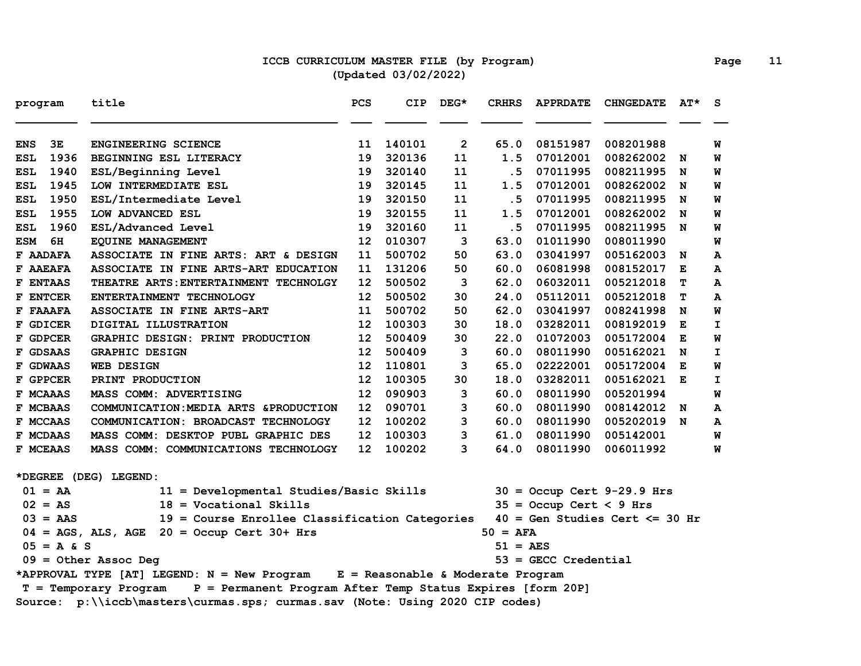### **ICCB CURRICULUM MASTER FILE (by Program) Page 11 (Updated 03/02/2022)**

| program                                                                             | title                                           | <b>PCS</b> | <b>CIP</b> | $DEG*$       | <b>CRHRS</b> | <b>APPRDATE</b>           | <b>CHNGEDATE</b>                  | AT* | <b>S</b> |  |
|-------------------------------------------------------------------------------------|-------------------------------------------------|------------|------------|--------------|--------------|---------------------------|-----------------------------------|-----|----------|--|
| 3E<br><b>ENS</b>                                                                    | ENGINEERING SCIENCE                             | 11         | 140101     | $\mathbf{2}$ | 65.0         | 08151987                  | 008201988                         |     | W        |  |
| 1936<br><b>ESL</b>                                                                  | BEGINNING ESL LITERACY                          | 19         | 320136     | 11           | 1.5          | 07012001                  | 008262002                         | N   | W        |  |
| 1940<br><b>ESL</b>                                                                  | ESL/Beginning Level                             | 19         | 320140     | 11           | . 5          | 07011995                  | 008211995                         | N   | W        |  |
| 1945<br>ESL                                                                         | LOW INTERMEDIATE ESL                            | 19         | 320145     | 11           | 1.5          | 07012001                  | 008262002                         | N   | W        |  |
| 1950<br>ESL                                                                         | ESL/Intermediate Level                          | 19         | 320150     | 11           | .5           | 07011995                  | 008211995                         | N   | W        |  |
| 1955<br><b>ESL</b>                                                                  | LOW ADVANCED ESL                                | 19         | 320155     | 11           | 1.5          | 07012001                  | 008262002                         | N   | W        |  |
| 1960<br>ESL                                                                         | ESL/Advanced Level                              | 19         | 320160     | 11           | . 5          | 07011995                  | 008211995                         | N   | W        |  |
| <b>ESM</b><br>6H                                                                    | <b>EQUINE MANAGEMENT</b>                        | 12         | 010307     | 3            | 63.0         | 01011990                  | 008011990                         |     | W        |  |
| F AADAFA                                                                            | ASSOCIATE IN FINE ARTS: ART & DESIGN            | 11         | 500702     | 50           | 63.0         | 03041997                  | 005162003                         | N   | А        |  |
| F AAEAFA                                                                            | ASSOCIATE IN FINE ARTS-ART EDUCATION            | 11         | 131206     | 50           | 60.0         | 06081998                  | 008152017                         | E   | A        |  |
| F ENTAAS                                                                            | THEATRE ARTS: ENTERTAINMENT TECHNOLGY           | 12         | 500502     | 3            | 62.0         | 06032011                  | 005212018                         | т   | A        |  |
| <b>F ENTCER</b>                                                                     | ENTERTAINMENT TECHNOLOGY                        | 12         | 500502     | 30           | 24.0         | 05112011                  | 005212018                         | т   | A        |  |
| F FAAAFA                                                                            | ASSOCIATE IN FINE ARTS-ART                      | 11         | 500702     | 50           | 62.0         | 03041997                  | 008241998                         | N   | M        |  |
| F GDICER                                                                            | DIGITAL ILLUSTRATION                            | 12         | 100303     | 30           | 18.0         | 03282011                  | 008192019                         | Е   | I.       |  |
| F GDPCER                                                                            | GRAPHIC DESIGN: PRINT PRODUCTION                | 12         | 500409     | 30           | 22.0         | 01072003                  | 005172004                         | Е   | W        |  |
| F GDSAAS                                                                            | <b>GRAPHIC DESIGN</b>                           | 12         | 500409     | 3            | 60.0         | 08011990                  | 005162021                         | N   | I.       |  |
| F GDWAAS                                                                            | <b>WEB DESIGN</b>                               | 12         | 110801     | 3            | 65.0         | 02222001                  | 005172004                         | E   | W        |  |
| F GPPCER                                                                            | PRINT PRODUCTION                                | 12         | 100305     | 30           | 18.0         | 03282011                  | 005162021                         | Е   | I.       |  |
| F MCAAAS                                                                            | MASS COMM: ADVERTISING                          | 12         | 090903     | 3            | 60.0         | 08011990                  | 005201994                         |     | W        |  |
| F MCBAAS                                                                            | COMMUNICATION: MEDIA ARTS & PRODUCTION          | 12         | 090701     | 3            | 60.0         | 08011990                  | 008142012 N                       |     | A        |  |
| F MCCAAS                                                                            | COMMUNICATION: BROADCAST TECHNOLOGY             | 12         | 100202     | 3            | 60.0         | 08011990                  | 005202019 N                       |     | A        |  |
| F MCDAAS                                                                            | MASS COMM: DESKTOP PUBL GRAPHIC DES             | 12         | 100303     | 3            | 61.0         | 08011990                  | 005142001                         |     | W        |  |
| F MCEAAS                                                                            | MASS COMM: COMMUNICATIONS TECHNOLOGY            | 12         | 100202     | 3            | 64.0         | 08011990                  | 006011992                         |     | W        |  |
|                                                                                     | *DEGREE (DEG) LEGEND:                           |            |            |              |              |                           |                                   |     |          |  |
| $01 = AA$                                                                           | 11 = Developmental Studies/Basic Skills         |            |            |              |              |                           | $30 =$ Occup Cert 9-29.9 Hrs      |     |          |  |
| $02 = AS$                                                                           | $18 = Vocational$ Skills                        |            |            |              |              | $35 =$ Occup Cert < 9 Hrs |                                   |     |          |  |
| $03 = AAS$                                                                          | 19 = Course Enrollee Classification Categories  |            |            |              |              |                           | $40 = Gen Studies Cert \le 30 hr$ |     |          |  |
|                                                                                     | $04 = AGS$ , ALS, AGE $20 = Occup$ Cert 30+ Hrs |            |            |              | $50 = AFA$   |                           |                                   |     |          |  |
| $05 = A & S$                                                                        |                                                 |            |            |              | 51 = AES     |                           |                                   |     |          |  |
|                                                                                     | $09 = 0$ ther Assoc Deg                         |            |            |              |              | $53 =$ GECC Credential    |                                   |     |          |  |
| *APPROVAL TYPE [AT] LEGEND: N = New Program E = Reasonable & Moderate Program       |                                                 |            |            |              |              |                           |                                   |     |          |  |
| P = Permanent Program After Temp Status Expires [form 20P]<br>T = Temporary Program |                                                 |            |            |              |              |                           |                                   |     |          |  |
| Source: p:\\iccb\masters\curmas.sps; curmas.sav (Note: Using 2020 CIP codes)        |                                                 |            |            |              |              |                           |                                   |     |          |  |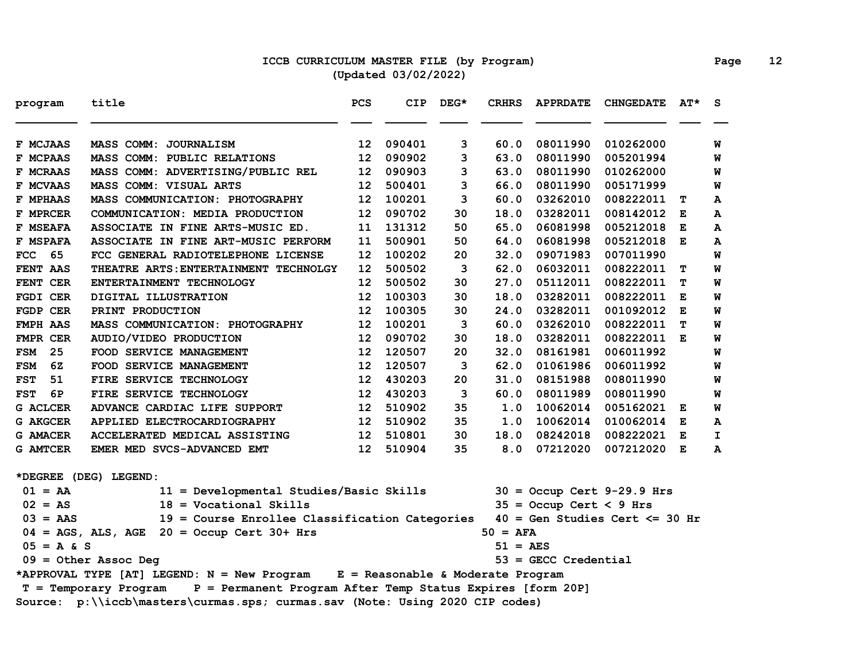### **ICCB CURRICULUM MASTER FILE (by Program) Page 12 (Updated 03/02/2022)**

| program          | title                                                                               | PCS             | <b>CIP</b> | $DEG*$ | <b>CRHRS</b> | <b>APPRDATE</b>           | <b>CHNGEDATE</b>                  | $AT^{\star}$ | <b>S</b> |
|------------------|-------------------------------------------------------------------------------------|-----------------|------------|--------|--------------|---------------------------|-----------------------------------|--------------|----------|
| F MCJAAS         | MASS COMM: JOURNALISM                                                               | 12              | 090401     | 3      | 60.0         | 08011990                  | 010262000                         |              | W        |
| F MCPAAS         | MASS COMM: PUBLIC RELATIONS                                                         | 12              | 090902     | 3      | 63.0         | 08011990                  | 005201994                         |              | W        |
| F MCRAAS         | MASS COMM: ADVERTISING/PUBLIC REL                                                   | 12              | 090903     | 3      | 63.0         | 08011990                  | 010262000                         |              | W        |
| F MCVAAS         | MASS COMM: VISUAL ARTS                                                              | 12              | 500401     | 3      | 66.0         | 08011990                  | 005171999                         |              | W        |
| <b>F MPHAAS</b>  | MASS COMMUNICATION: PHOTOGRAPHY                                                     | 12              | 100201     | 3      | 60.0         | 03262010                  | 008222011                         | т            | A        |
| F MPRCER         | COMMUNICATION: MEDIA PRODUCTION                                                     | 12              | 090702     | 30     | 18.0         | 03282011                  | 008142012                         | Е            | A        |
| F MSEAFA         | ASSOCIATE IN FINE ARTS-MUSIC ED.                                                    | 11              | 131312     | 50     | 65.0         | 06081998                  | 005212018                         | E            | А        |
| F MSPAFA         | ASSOCIATE IN FINE ART-MUSIC PERFORM                                                 | 11              | 500901     | 50     | 64.0         | 06081998                  | 005212018                         | E            | A        |
| 65<br><b>FCC</b> | FCC GENERAL RADIOTELEPHONE LICENSE                                                  | 12              | 100202     | 20     | 32.0         | 09071983                  | 007011990                         |              | M        |
| FENT AAS         | THEATRE ARTS: ENTERTAINMENT TECHNOLGY                                               | 12              | 500502     | 3      | 62.0         | 06032011                  | 008222011                         | т            | W        |
| FENT CER         | ENTERTAINMENT TECHNOLOGY                                                            | 12              | 500502     | 30     | 27.0         | 05112011                  | 008222011                         | т            | W        |
| FGDI CER         | DIGITAL ILLUSTRATION                                                                | 12              | 100303     | 30     | 18.0         | 03282011                  | 008222011                         | Е            | W        |
| FGDP CER         | PRINT PRODUCTION                                                                    | 12              | 100305     | 30     | 24.0         | 03282011                  | 001092012                         | E            | W        |
| <b>FMPH AAS</b>  | MASS COMMUNICATION: PHOTOGRAPHY                                                     | 12              | 100201     | 3      | 60.0         | 03262010                  | 008222011                         | т            | W        |
| FMPR CER         | AUDIO/VIDEO PRODUCTION                                                              | 12              | 090702     | 30     | 18.0         | 03282011                  | 008222011 E                       |              | W        |
| <b>FSM</b><br>25 | FOOD SERVICE MANAGEMENT                                                             | 12              | 120507     | 20     | 32.0         | 08161981                  | 006011992                         |              | W        |
| 6Z<br><b>FSM</b> | FOOD SERVICE MANAGEMENT                                                             | 12              | 120507     | 3      | 62.0         | 01061986                  | 006011992                         |              | W        |
| <b>FST</b><br>51 | FIRE SERVICE TECHNOLOGY                                                             | 12              | 430203     | 20     | 31.0         | 08151988                  | 008011990                         |              | W        |
| 6P<br><b>FST</b> | FIRE SERVICE TECHNOLOGY                                                             | 12              | 430203     | 3      | 60.0         | 08011989                  | 008011990                         |              | W        |
| G ACLCER         | ADVANCE CARDIAC LIFE SUPPORT                                                        | 12              | 510902     | 35     | 1.0          | 10062014                  | 005162021 E                       |              | W        |
| <b>G AKGCER</b>  | APPLIED ELECTROCARDIOGRAPHY                                                         | 12 <sup>2</sup> | 510902     | 35     | 1.0          | 10062014                  | 010062014                         | Е            | A        |
| <b>G AMACER</b>  | ACCELERATED MEDICAL ASSISTING                                                       | 12              | 510801     | 30     | 18.0         | 08242018                  | 008222021 E                       |              | I        |
| <b>G AMTCER</b>  | EMER MED SVCS-ADVANCED EMT                                                          | 12 <sup>2</sup> | 510904     | 35     | 8.0          | 07212020                  | 007212020 E                       |              | A        |
|                  | *DEGREE (DEG) LEGEND:                                                               |                 |            |        |              |                           |                                   |              |          |
| $01 = AA$        | 11 = Developmental Studies/Basic Skills                                             |                 |            |        |              |                           | $30 =$ Occup Cert 9-29.9 Hrs      |              |          |
| $02 = AS$        | $18 = Vocational Skills$                                                            |                 |            |        |              | $35 =$ Occup Cert < 9 Hrs |                                   |              |          |
| $03 = AAS$       | 19 = Course Enrollee Classification Categories                                      |                 |            |        |              |                           | $40 = Gen Studies Cert \le 30 hr$ |              |          |
|                  | $04 = AGS$ , ALS, AGE 20 = Occup Cert 30+ Hrs                                       |                 |            |        | $50 = AFA$   |                           |                                   |              |          |
| $05 = A & S$     |                                                                                     |                 |            |        | 51 = AES     |                           |                                   |              |          |
|                  | $09 = 0$ ther Assoc Deg                                                             |                 |            |        |              | $53 =$ GECC Credential    |                                   |              |          |
|                  | *APPROVAL TYPE [AT] LEGEND: N = New Program E = Reasonable & Moderate Program       |                 |            |        |              |                           |                                   |              |          |
|                  | P = Permanent Program After Temp Status Expires [form 20P]<br>T = Temporary Program |                 |            |        |              |                           |                                   |              |          |
|                  | Source: p:\\iccb\masters\curmas.sps; curmas.sav (Note: Using 2020 CIP codes)        |                 |            |        |              |                           |                                   |              |          |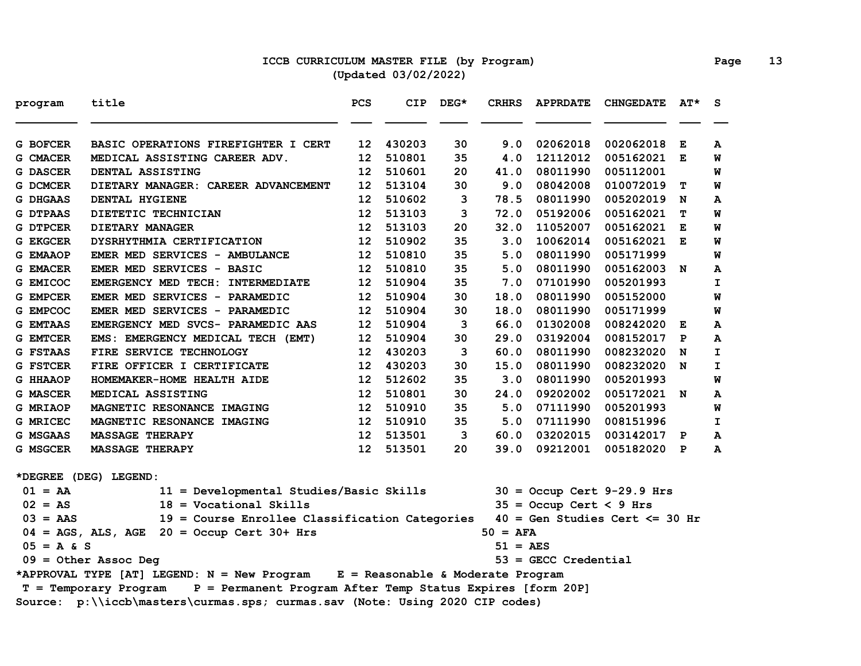### **ICCB CURRICULUM MASTER FILE (by Program) Page 13 (Updated 03/02/2022)**

| program         | title                                                                               | PCS             | CIP.   | $DEG*$ | <b>CRHRS</b>          | <b>APPRDATE</b>           | <b>CHNGEDATE</b>                  | $AT^{\star}$ | S. |
|-----------------|-------------------------------------------------------------------------------------|-----------------|--------|--------|-----------------------|---------------------------|-----------------------------------|--------------|----|
| G BOFCER        | BASIC OPERATIONS FIREFIGHTER I CERT                                                 | 12              | 430203 | 30     | 9.0                   | 02062018                  | 002062018                         | Е            | A  |
| G CMACER        | MEDICAL ASSISTING CAREER ADV.                                                       | 12              | 510801 | 35     | 4.0                   | 12112012                  | 005162021                         | Е            | W  |
| <b>G DASCER</b> | DENTAL ASSISTING                                                                    | 12              | 510601 | 20     | 41.0                  | 08011990                  | 005112001                         |              | W  |
| G DCMCER        | DIETARY MANAGER: CAREER ADVANCEMENT                                                 | 12              | 513104 | 30     | 9.0                   | 08042008                  | 010072019                         | т            | W  |
| G DHGAAS        | DENTAL HYGIENE                                                                      | 12              | 510602 | 3      | 78.5                  | 08011990                  | 005202019                         | N            | A  |
| <b>G DTPAAS</b> | DIETETIC TECHNICIAN                                                                 | 12              | 513103 | 3      | 72.0                  | 05192006                  | 005162021                         | т            | W  |
| <b>G DTPCER</b> | <b>DIETARY MANAGER</b>                                                              | 12              | 513103 | 20     | 32.0                  | 11052007                  | 005162021                         | Е            | W  |
| G EKGCER        | DYSRHYTHMIA CERTIFICATION                                                           | 12              | 510902 | 35     | 3.0                   | 10062014                  | 005162021 E                       |              | W  |
| <b>G EMAAOP</b> | EMER MED SERVICES - AMBULANCE                                                       | 12              | 510810 | 35     | 5.0                   | 08011990                  | 005171999                         |              | W  |
| <b>G EMACER</b> | EMER MED SERVICES - BASIC                                                           | 12              | 510810 | 35     | 5.0                   | 08011990                  | 005162003 N                       |              | A  |
| G EMICOC        | EMERGENCY MED TECH: INTERMEDIATE                                                    | 12              | 510904 | 35     | 7.0                   | 07101990                  | 005201993                         |              | I. |
| G EMPCER        | EMER MED SERVICES - PARAMEDIC                                                       | 12              | 510904 | 30     | 18.0                  | 08011990                  | 005152000                         |              | W  |
| G EMPCOC        | EMER MED SERVICES - PARAMEDIC                                                       | 12              | 510904 | 30     | 18.0                  | 08011990                  | 005171999                         |              | W  |
| <b>G EMTAAS</b> | EMERGENCY MED SVCS- PARAMEDIC AAS                                                   | 12              | 510904 | 3      | 66.0                  | 01302008                  | 008242020 E                       |              | A  |
| <b>G EMTCER</b> | EMS: EMERGENCY MEDICAL TECH (EMT)                                                   | 12              | 510904 | 30     | 29.0                  | 03192004                  | 008152017                         | P            | A  |
| <b>G FSTAAS</b> | FIRE SERVICE TECHNOLOGY                                                             | 12              | 430203 | 3      | 60.0                  | 08011990                  | 008232020                         | N            | I  |
| G FSTCER        | FIRE OFFICER I CERTIFICATE                                                          | 12              | 430203 | 30     | 15.0                  | 08011990                  | 008232020                         | N            | I. |
| <b>G HHAAOP</b> | HOMEMAKER-HOME HEALTH AIDE                                                          | 12              | 512602 | 35     | 3.0                   | 08011990                  | 005201993                         |              | W  |
| <b>G MASCER</b> | MEDICAL ASSISTING                                                                   | 12              | 510801 | 30     | 24.0                  | 09202002                  | 005172021 N                       |              | A  |
| <b>G MRIAOP</b> | MAGNETIC RESONANCE IMAGING                                                          | 12              | 510910 | 35     | 5.0                   | 07111990                  | 005201993                         |              | W  |
| G MRICEC        | MAGNETIC RESONANCE IMAGING                                                          | 12              | 510910 | 35     | 5.0                   | 07111990                  | 008151996                         |              | I  |
| G MSGAAS        | <b>MASSAGE THERAPY</b>                                                              | 12 <sup>2</sup> | 513501 | 3      | 60.0                  | 03202015                  | 003142017 P                       |              | A  |
| G MSGCER        | <b>MASSAGE THERAPY</b>                                                              | 12 <sub>2</sub> | 513501 | 20     | 39.0                  | 09212001                  | 005182020 P                       |              | A  |
|                 | *DEGREE (DEG) LEGEND:                                                               |                 |        |        |                       |                           |                                   |              |    |
| $01 = AA$       | 11 = Developmental Studies/Basic Skills                                             |                 |        |        |                       |                           | $30 =$ Occup Cert 9-29.9 Hrs      |              |    |
| $02 = AS$       | $18 = Vocational$ Skills                                                            |                 |        |        |                       | $35 =$ Occup Cert < 9 Hrs |                                   |              |    |
| $03 = AAS$      | 19 = Course Enrollee Classification Categories                                      |                 |        |        |                       |                           | $40 = Gen Studies Cert \le 30 hr$ |              |    |
|                 | $04 = AGS$ , ALS, AGE $20 = Occup$ Cert 30+ Hrs                                     |                 |        |        | $50 = AFA$            |                           |                                   |              |    |
| $05 = A & S$    |                                                                                     |                 |        |        | $51 = \overline{AES}$ |                           |                                   |              |    |
|                 | $09 = 0$ ther Assoc Deg                                                             |                 |        |        |                       | $53 =$ GECC Credential    |                                   |              |    |
|                 | *APPROVAL TYPE [AT] LEGEND: N = New Program E = Reasonable & Moderate Program       |                 |        |        |                       |                           |                                   |              |    |
|                 | P = Permanent Program After Temp Status Expires [form 20P]<br>T = Temporary Program |                 |        |        |                       |                           |                                   |              |    |
|                 | Source: p:\\iccb\masters\curmas.sps; curmas.sav (Note: Using 2020 CIP codes)        |                 |        |        |                       |                           |                                   |              |    |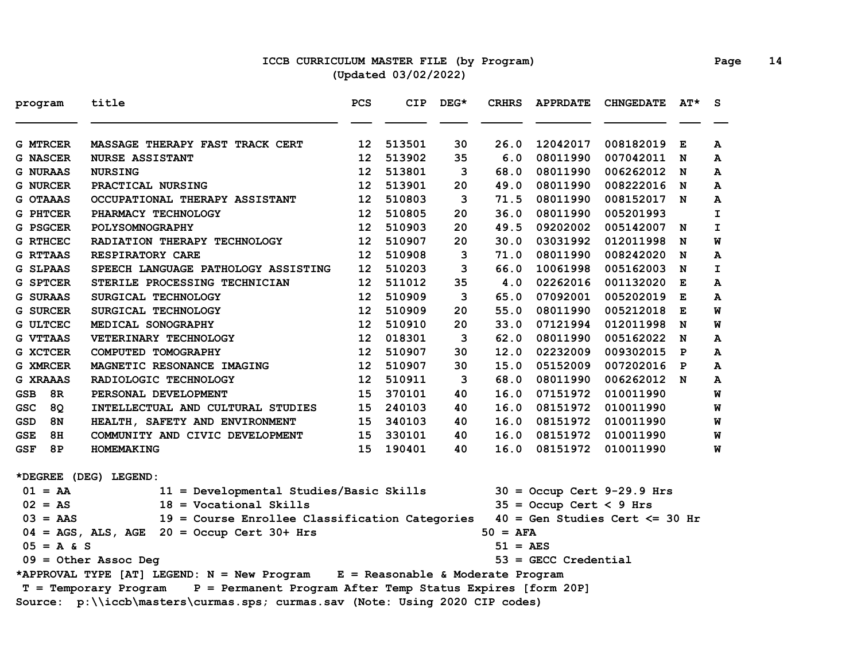### **ICCB CURRICULUM MASTER FILE (by Program) Page 14 (Updated 03/02/2022)**

| program          | title                                                                               | PCS             | <b>CIP</b> | $DEG*$ | <b>CRHRS</b>          | <b>APPRDATE</b>           | <b>CHNGEDATE</b>                  | $AT^{\star}$ | S.           |
|------------------|-------------------------------------------------------------------------------------|-----------------|------------|--------|-----------------------|---------------------------|-----------------------------------|--------------|--------------|
| <b>G MTRCER</b>  | MASSAGE THERAPY FAST TRACK CERT                                                     | 12 <sup>2</sup> | 513501     | 30     | 26.0                  | 12042017                  | 008182019                         | Е            | A            |
| <b>G NASCER</b>  | <b>NURSE ASSISTANT</b>                                                              | 12 <sup>2</sup> | 513902     | 35     | 6.0                   | 08011990                  | 007042011                         | N            | A            |
| <b>G NURAAS</b>  | <b>NURSING</b>                                                                      | 12              | 513801     | 3      | 68.0                  | 08011990                  | 006262012                         | N            | A            |
| <b>G NURCER</b>  | PRACTICAL NURSING                                                                   | 12 <sub>2</sub> | 513901     | 20     | 49.0                  | 08011990                  | 008222016                         | N            | A            |
| G OTAAAS         | OCCUPATIONAL THERAPY ASSISTANT                                                      | 12              | 510803     | 3      | 71.5                  | 08011990                  | 008152017 N                       |              | A            |
| G PHTCER         | PHARMACY TECHNOLOGY                                                                 | 12              | 510805     | 20     | 36.0                  | 08011990                  | 005201993                         |              | $\mathbf{I}$ |
| G PSGCER         | POLYSOMNOGRAPHY                                                                     | 12              | 510903     | 20     | 49.5                  | 09202002                  | 005142007 N                       |              | $\mathbf{I}$ |
| <b>G RTHCEC</b>  | RADIATION THERAPY TECHNOLOGY                                                        | 12              | 510907     | 20     | 30.0                  | 03031992                  | 012011998                         | N            | W            |
| <b>G RTTAAS</b>  | <b>RESPIRATORY CARE</b>                                                             | 12              | 510908     | 3      | 71.0                  | 08011990                  | 008242020                         | N            | A            |
| G SLPAAS         | SPEECH LANGUAGE PATHOLOGY ASSISTING                                                 | 12              | 510203     | 3      | 66.0                  | 10061998                  | 005162003                         | N            | $\mathbf{I}$ |
| <b>G SPTCER</b>  | STERILE PROCESSING TECHNICIAN                                                       | 12              | 511012     | 35     | 4.0                   | 02262016                  | 001132020                         | Е            | A            |
| <b>G SURAAS</b>  | SURGICAL TECHNOLOGY                                                                 | 12              | 510909     | 3      | 65.0                  | 07092001                  | 005202019                         | Е            | A            |
| <b>G SURCER</b>  | SURGICAL TECHNOLOGY                                                                 | 12              | 510909     | 20     | 55.0                  | 08011990                  | 005212018                         | Е            | M            |
| <b>G ULTCEC</b>  | MEDICAL SONOGRAPHY                                                                  | 12              | 510910     | 20     | 33.0                  | 07121994                  | 012011998                         | N            | W            |
| G VTTAAS         | VETERINARY TECHNOLOGY                                                               | 12 <sup>2</sup> | 018301     | 3      | 62.0                  | 08011990                  | 005162022                         | N            | A            |
| <b>G XCTCER</b>  | COMPUTED TOMOGRAPHY                                                                 | 12              | 510907     | 30     | 12.0                  | 02232009                  | 009302015                         | $\mathbf{P}$ | A            |
| G XMRCER         | MAGNETIC RESONANCE IMAGING                                                          | 12              | 510907     | 30     | 15.0                  | 05152009                  | 007202016                         | $\mathbf{P}$ | A            |
| <b>G XRAAAS</b>  | RADIOLOGIC TECHNOLOGY                                                               | 12              | 510911     | 3      | 68.0                  | 08011990                  | 006262012 N                       |              | A            |
| 8R<br><b>GSB</b> | PERSONAL DEVELOPMENT                                                                | 15              | 370101     | 40     | 16.0                  | 07151972                  | 010011990                         |              | W            |
| <b>GSC</b><br>8Q | INTELLECTUAL AND CULTURAL STUDIES                                                   | 15              | 240103     | 40     | 16.0                  | 08151972                  | 010011990                         |              | W            |
| <b>GSD</b><br>8N | HEALTH, SAFETY AND ENVIRONMENT                                                      | 15              | 340103     | 40     | 16.0                  | 08151972                  | 010011990                         |              | W            |
| 8H<br>GSE        | COMMUNITY AND CIVIC DEVELOPMENT                                                     | 15              | 330101     | 40     | 16.0                  | 08151972                  | 010011990                         |              | W            |
| 8P<br><b>GSF</b> | HOMEMAKING                                                                          | 15              | 190401     | 40     | 16.0                  | 08151972                  | 010011990                         |              | W            |
|                  | *DEGREE (DEG) LEGEND:                                                               |                 |            |        |                       |                           |                                   |              |              |
| $01 = AA$        | 11 = Developmental Studies/Basic Skills                                             |                 |            |        |                       |                           | $30 =$ Occup Cert 9-29.9 Hrs      |              |              |
| $02 = AS$        | $18 = Vocational$ Skills                                                            |                 |            |        |                       | $35 =$ Occup Cert < 9 Hrs |                                   |              |              |
| $03 = AAS$       | 19 = Course Enrollee Classification Categories                                      |                 |            |        |                       |                           | $40 = Gen Studies Cert \le 30 hr$ |              |              |
|                  | $04 = AGS$ , ALS, AGE 20 = Occup Cert 30+ Hrs                                       |                 |            |        | $50 = AFA$            |                           |                                   |              |              |
| $05 = A & S$     |                                                                                     |                 |            |        | $51 = \overline{AES}$ |                           |                                   |              |              |
|                  | $09 = 0$ ther Assoc Deg                                                             |                 |            |        |                       | $53 =$ GECC Credential    |                                   |              |              |
|                  | *APPROVAL TYPE [AT] LEGEND: N = New Program E = Reasonable & Moderate Program       |                 |            |        |                       |                           |                                   |              |              |
|                  | P = Permanent Program After Temp Status Expires [form 20P]<br>T = Temporary Program |                 |            |        |                       |                           |                                   |              |              |
|                  | Source: p:\\iccb\masters\curmas.sps; curmas.sav (Note: Using 2020 CIP codes)        |                 |            |        |                       |                           |                                   |              |              |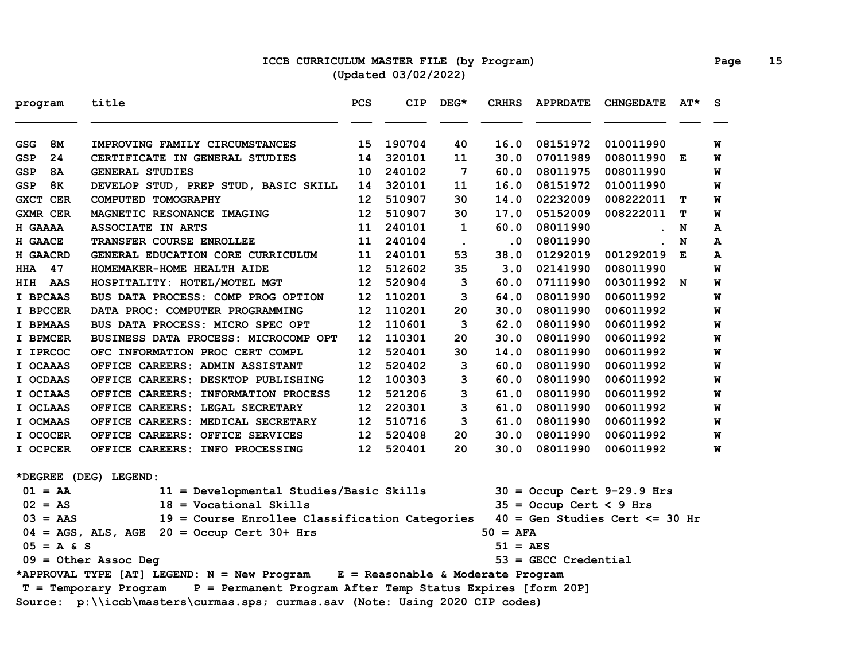## **ICCB CURRICULUM MASTER FILE (by Program) Page 15 (Updated 03/02/2022)**

| program         |              | title                                                                               | PCS               | <b>CIP</b> | $DEG*$      | <b>CRHRS</b>      | <b>APPRDATE</b>           | <b>CHNGEDATE</b>                  | $AT^{\star}$ | S |
|-----------------|--------------|-------------------------------------------------------------------------------------|-------------------|------------|-------------|-------------------|---------------------------|-----------------------------------|--------------|---|
| <b>GSG</b>      | 8M           | IMPROVING FAMILY CIRCUMSTANCES                                                      | 15.               | 190704     | 40          | 16.0              | 08151972                  | 010011990                         |              | W |
| <b>GSP</b>      | 24           | CERTIFICATE IN GENERAL STUDIES                                                      | 14                | 320101     | 11          | 30.0              | 07011989                  | 008011990 E                       |              | W |
| <b>GSP</b>      | 8A           | <b>GENERAL STUDIES</b>                                                              | 10                | 240102     | 7           | 60.0              | 08011975                  | 008011990                         |              | W |
| <b>GSP</b>      | 8K           | DEVELOP STUD, PREP STUD, BASIC SKILL                                                | 14                | 320101     | 11          | 16.0              | 08151972                  | 010011990                         |              | W |
| <b>GXCT CER</b> |              | COMPUTED TOMOGRAPHY                                                                 | 12                | 510907     | 30          | 14.0              | 02232009                  | 008222011                         | т            | W |
| <b>GXMR CER</b> |              | MAGNETIC RESONANCE IMAGING                                                          | 12                | 510907     | 30          | 17.0              | 05152009                  | 008222011                         | т            | W |
| H GAAAA         |              | <b>ASSOCIATE IN ARTS</b>                                                            | 11                | 240101     | $\mathbf 1$ | 60.0              | 08011990                  |                                   | N            | A |
| H GAACE         |              | TRANSFER COURSE ENROLLEE                                                            | 11                | 240104     | $\bullet$   | $\cdot$ 0         | 08011990                  |                                   | N            | A |
| <b>H GAACRD</b> |              | GENERAL EDUCATION CORE CURRICULUM                                                   | 11                | 240101     | 53          | 38.0              | 01292019                  | 001292019                         | E            | A |
| <b>HHA</b>      | 47           | HOMEMAKER-HOME HEALTH AIDE                                                          | 12                | 512602     | 35          | 3.0               | 02141990                  | 008011990                         |              | M |
| HIH             | AAS          | HOSPITALITY: HOTEL/MOTEL MGT                                                        | 12                | 520904     | 3           | 60.0              | 07111990                  | 003011992 N                       |              | W |
| I BPCAAS        |              | BUS DATA PROCESS: COMP PROG OPTION                                                  | 12                | 110201     | 3           | 64.0              | 08011990                  | 006011992                         |              | W |
| I BPCCER        |              | DATA PROC: COMPUTER PROGRAMMING                                                     | 12                | 110201     | 20          | 30.0              | 08011990                  | 006011992                         |              | W |
| I BPMAAS        |              | BUS DATA PROCESS: MICRO SPEC OPT                                                    | 12                | 110601     | 3           | 62.0              | 08011990                  | 006011992                         |              | W |
| I BPMCER        |              | BUSINESS DATA PROCESS: MICROCOMP OPT                                                | 12                | 110301     | 20          | 30.0              | 08011990                  | 006011992                         |              | W |
| I IPRCOC        |              | OFC INFORMATION PROC CERT COMPL                                                     | 12                | 520401     | 30          | 14.0              | 08011990                  | 006011992                         |              | W |
| I OCAAAS        |              | OFFICE CAREERS: ADMIN ASSISTANT                                                     | $12 \overline{ }$ | 520402     | 3           | 60.0              | 08011990                  | 006011992                         |              | W |
| I OCDAAS        |              | OFFICE CAREERS: DESKTOP PUBLISHING                                                  | 12                | 100303     | 3           | 60.0              | 08011990                  | 006011992                         |              | W |
| I OCIAAS        |              | OFFICE CAREERS: INFORMATION PROCESS                                                 | 12                | 521206     | 3           | 61.0              | 08011990                  | 006011992                         |              | W |
| I OCLAAS        |              | OFFICE CAREERS: LEGAL SECRETARY                                                     | 12                | 220301     | 3           | 61.0              | 08011990                  | 006011992                         |              | W |
| I OCMAAS        |              | OFFICE CAREERS: MEDICAL SECRETARY                                                   | 12 <sup>°</sup>   | 510716     | 3           | 61.0              | 08011990                  | 006011992                         |              | W |
| I OCOCER        |              | OFFICE CAREERS: OFFICE SERVICES                                                     | 12 <sup>°</sup>   | 520408     | 20          | 30.0              | 08011990                  | 006011992                         |              | W |
| I OCPCER        |              | OFFICE CAREERS: INFO PROCESSING                                                     | 12 <sup>°</sup>   | 520401     | 20          | 30.0              | 08011990                  | 006011992                         |              | W |
|                 |              | *DEGREE (DEG) LEGEND:                                                               |                   |            |             |                   |                           |                                   |              |   |
| $01 = AA$       |              | 11 = Developmental Studies/Basic Skills                                             |                   |            |             |                   |                           | $30 =$ Occup Cert 9-29.9 Hrs      |              |   |
| $02 = AS$       |              | $18 = Vocational$ Skills                                                            |                   |            |             |                   | $35 =$ Occup Cert < 9 Hrs |                                   |              |   |
| $03 = AAS$      |              | 19 = Course Enrollee Classification Categories                                      |                   |            |             |                   |                           | $40 = Gen Studies Cert \le 30 hr$ |              |   |
|                 |              | $04 = AGS$ , ALS, AGE $20 = Occup$ Cert 30+ Hrs                                     |                   |            |             | $50 = AFA$        |                           |                                   |              |   |
|                 | $05 = A & S$ |                                                                                     |                   |            |             | $51 = \text{AES}$ |                           |                                   |              |   |
|                 |              | $09 =$ Other Assoc Deg                                                              |                   |            |             |                   | $53 =$ GECC Credential    |                                   |              |   |
|                 |              | *APPROVAL TYPE [AT] LEGEND: N = New Program E = Reasonable & Moderate Program       |                   |            |             |                   |                           |                                   |              |   |
|                 |              | P = Permanent Program After Temp Status Expires [form 20P]<br>T = Temporary Program |                   |            |             |                   |                           |                                   |              |   |
|                 |              | Source: p:\\iccb\masters\curmas.sps; curmas.sav (Note: Using 2020 CIP codes)        |                   |            |             |                   |                           |                                   |              |   |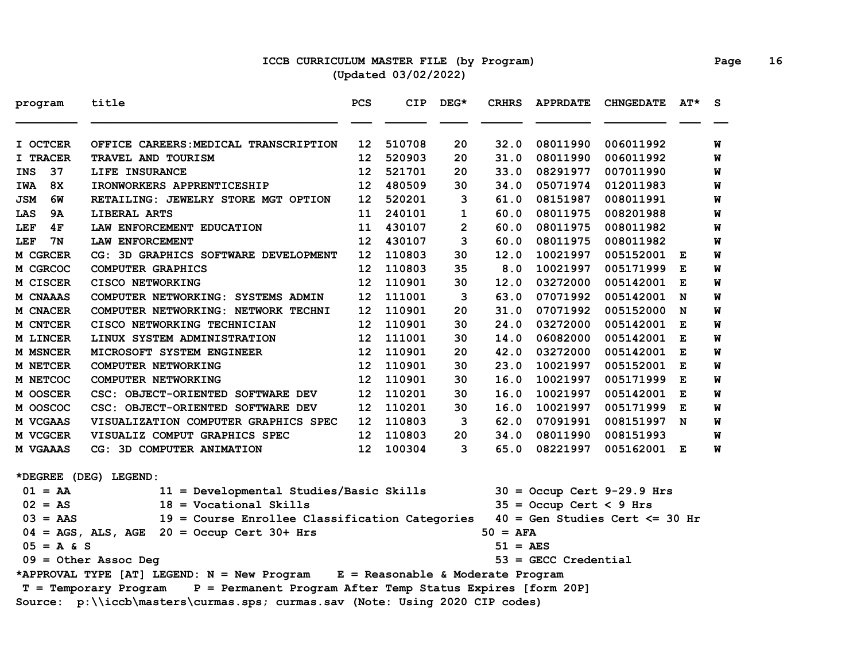### **ICCB CURRICULUM MASTER FILE (by Program) Page 16 (Updated 03/02/2022)**

| program          | title                                                                               | PCS | <b>CIP</b> | DEG*           | <b>CRHRS</b>          | <b>APPRDATE</b>           | <b>CHNGEDATE</b>                  | AT* | S |
|------------------|-------------------------------------------------------------------------------------|-----|------------|----------------|-----------------------|---------------------------|-----------------------------------|-----|---|
| I OCTCER         | OFFICE CAREERS: MEDICAL TRANSCRIPTION                                               | 12  | 510708     | 20             | 32.0                  | 08011990                  | 006011992                         |     | W |
| I TRACER         | TRAVEL AND TOURISM                                                                  | 12  | 520903     | 20             | 31.0                  | 08011990                  | 006011992                         |     | W |
| 37<br><b>INS</b> | LIFE INSURANCE                                                                      | 12  | 521701     | 20             | 33.0                  | 08291977                  | 007011990                         |     | W |
| 8X<br>IWA        | IRONWORKERS APPRENTICESHIP                                                          | 12  | 480509     | 30             | 34.0                  | 05071974                  | 012011983                         |     | W |
| <b>JSM</b><br>6W | RETAILING: JEWELRY STORE MGT OPTION                                                 | 12  | 520201     | 3              | 61.0                  | 08151987                  | 008011991                         |     | W |
| LAS<br>9A        | LIBERAL ARTS                                                                        | 11  | 240101     | 1              | 60.0                  | 08011975                  | 008201988                         |     | W |
| LEF<br>4F        | LAW ENFORCEMENT EDUCATION                                                           | 11  | 430107     | $\overline{2}$ | 60.0                  | 08011975                  | 008011982                         |     | W |
| LEF<br>7N        | LAW ENFORCEMENT                                                                     | 12  | 430107     | 3              | 60.0                  | 08011975                  | 008011982                         |     | W |
| M CGRCER         | CG: 3D GRAPHICS SOFTWARE DEVELOPMENT                                                | 12  | 110803     | 30             | 12.0                  | 10021997                  | 005152001 E                       |     | W |
| M CGRCOC         | <b>COMPUTER GRAPHICS</b>                                                            | 12  | 110803     | 35             | 8.0                   | 10021997                  | 005171999                         | Е   | M |
| M CISCER         | <b>CISCO NETWORKING</b>                                                             | 12  | 110901     | 30             | 12.0                  | 03272000                  | 005142001                         | E   | W |
| M CNAAAS         | COMPUTER NETWORKING: SYSTEMS ADMIN                                                  | 12  | 111001     | 3              | 63.0                  | 07071992                  | 005142001                         | N   | W |
| M CNACER         | COMPUTER NETWORKING: NETWORK TECHNI                                                 | 12  | 110901     | 20             | 31.0                  | 07071992                  | 005152000                         | N   | W |
| M CNTCER         | CISCO NETWORKING TECHNICIAN                                                         | 12  | 110901     | 30             | 24.0                  | 03272000                  | 005142001                         | E   | W |
| M LINCER         | LINUX SYSTEM ADMINISTRATION                                                         | 12  | 111001     | 30             | 14.0                  | 06082000                  | 005142001                         | Е   | W |
| <b>M MSNCER</b>  | MICROSOFT SYSTEM ENGINEER                                                           | 12  | 110901     | 20             | 42.0                  | 03272000                  | 005142001                         | E   | W |
| M NETCER         | COMPUTER NETWORKING                                                                 | 12  | 110901     | 30             | 23.0                  | 10021997                  | 005152001                         | Е   | W |
| M NETCOC         | COMPUTER NETWORKING                                                                 | 12  | 110901     | 30             | 16.0                  | 10021997                  | 005171999                         | Е   | W |
| M OOSCER         | CSC: OBJECT-ORIENTED SOFTWARE DEV                                                   | 12  | 110201     | 30             | 16.0                  | 10021997                  | 005142001                         | Е   | W |
| M OOSCOC         | CSC: OBJECT-ORIENTED SOFTWARE DEV                                                   | 12  | 110201     | 30             | 16.0                  | 10021997                  | 005171999                         | Е   | W |
| <b>M VCGAAS</b>  | VISUALIZATION COMPUTER GRAPHICS SPEC                                                | 12  | 110803     | 3              | 62.0                  | 07091991                  | 008151997 N                       |     | W |
| M VCGCER         | VISUALIZ COMPUT GRAPHICS SPEC                                                       | 12  | 110803     | 20             | 34.0                  | 08011990                  | 008151993                         |     | W |
| <b>M VGAAAS</b>  | CG: 3D COMPUTER ANIMATION                                                           | 12  | 100304     | 3              | 65.0                  | 08221997                  | 005162001 E                       |     | W |
|                  | *DEGREE (DEG) LEGEND:                                                               |     |            |                |                       |                           |                                   |     |   |
| $01 = AA$        | 11 = Developmental Studies/Basic Skills                                             |     |            |                |                       |                           | $30 =$ Occup Cert 9-29.9 Hrs      |     |   |
| $02 = AS$        | $18 = Vocational Skills$                                                            |     |            |                |                       | $35 =$ Occup Cert < 9 Hrs |                                   |     |   |
| $03 = AAS$       | 19 = Course Enrollee Classification Categories                                      |     |            |                |                       |                           | $40 = Gen Studies Cert \le 30 hr$ |     |   |
|                  | $04 = AGS$ , ALS, AGE $20 = Occup$ Cert 30+ Hrs                                     |     |            |                | $50 = AFA$            |                           |                                   |     |   |
| $05 = A & S$     |                                                                                     |     |            |                | $51 = \overline{AES}$ |                           |                                   |     |   |
|                  | $09 = 0$ ther Assoc Deg                                                             |     |            |                |                       | $53 =$ GECC Credential    |                                   |     |   |
|                  | *APPROVAL TYPE [AT] LEGEND: N = New Program E = Reasonable & Moderate Program       |     |            |                |                       |                           |                                   |     |   |
|                  | P = Permanent Program After Temp Status Expires [form 20P]<br>T = Temporary Program |     |            |                |                       |                           |                                   |     |   |
|                  | Source: p:\\iccb\masters\curmas.sps; curmas.sav (Note: Using 2020 CIP codes)        |     |            |                |                       |                           |                                   |     |   |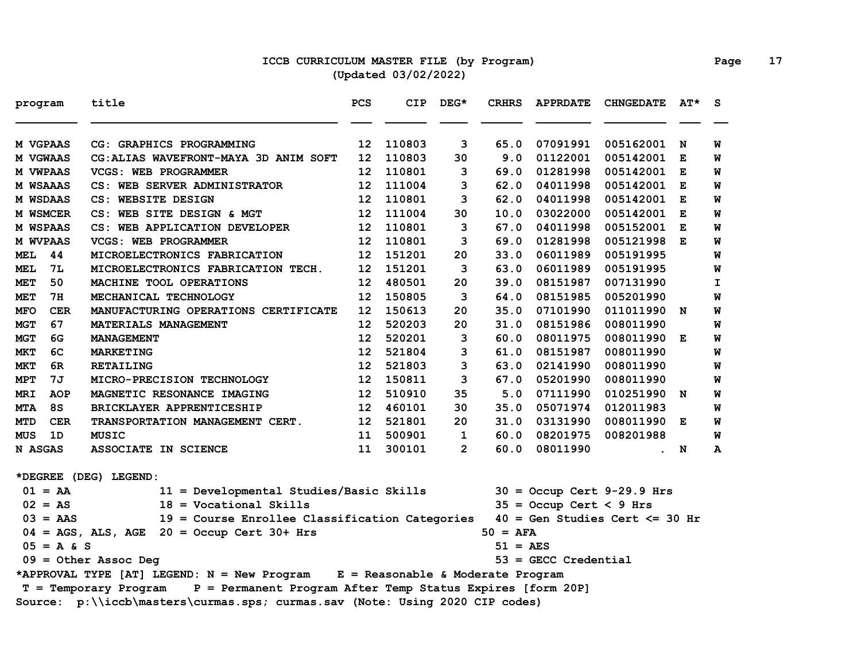# **ICCB CURRICULUM MASTER FILE (by Program) Page 17 (Updated 03/02/2022)**

| program                  | title                                                                               | PCS             | <b>CIP</b> | $DEG*$         | <b>CRHRS</b> | <b>APPRDATE</b>           | <b>CHNGEDATE</b>                  | $AT^{\star}$ | S.           |
|--------------------------|-------------------------------------------------------------------------------------|-----------------|------------|----------------|--------------|---------------------------|-----------------------------------|--------------|--------------|
| M VGPAAS                 | CG: GRAPHICS PROGRAMMING                                                            | 12              | 110803     | 3              | 65.0         | 07091991                  | 005162001                         | N            | W            |
| M VGWAAS                 | CG: ALIAS WAVEFRONT-MAYA 3D ANIM SOFT                                               | 12              | 110803     | 30             | 9.0          | 01122001                  | 005142001                         | Е            | W            |
| <b>M VWPAAS</b>          | VCGS: WEB PROGRAMMER                                                                | 12              | 110801     | 3              | 69.0         | 01281998                  | 005142001                         | Е            | W            |
| <b>M WSAAAS</b>          | CS: WEB SERVER ADMINISTRATOR                                                        | 12              | 111004     | 3              | 62.0         | 04011998                  | 005142001                         | Е            | W            |
| <b>M WSDAAS</b>          | CS: WEBSITE DESIGN                                                                  | 12              | 110801     | 3              | 62.0         | 04011998                  | 005142001                         | Е            | W            |
| M WSMCER                 | CS: WEB SITE DESIGN & MGT                                                           | 12              | 111004     | 30             | 10.0         | 03022000                  | 005142001                         | E            | W            |
| <b>M WSPAAS</b>          | CS: WEB APPLICATION DEVELOPER                                                       | 12              | 110801     | 3              | 67.0         | 04011998                  | 005152001                         | E            | W            |
| <b>M WVPAAS</b>          | <b>VCGS: WEB PROGRAMMER</b>                                                         | 12 <sup>2</sup> | 110801     | 3              | 69.0         | 01281998                  | 005121998 E                       |              | W            |
| <b>MEL</b><br>44         | MICROELECTRONICS FABRICATION                                                        | 12 <sub>1</sub> | 151201     | 20             | 33.0         | 06011989                  | 005191995                         |              | W            |
| 7L<br>MEL                | MICROELECTRONICS FABRICATION TECH.                                                  | 12              | 151201     | 3              | 63.0         | 06011989                  | 005191995                         |              | W            |
| <b>MET</b><br>50         | MACHINE TOOL OPERATIONS                                                             | 12              | 480501     | 20             | 39.0         | 08151987                  | 007131990                         |              | I            |
| <b>MET</b><br>7H         | MECHANICAL TECHNOLOGY                                                               | 12              | 150805     | 3              | 64.0         | 08151985                  | 005201990                         |              | M            |
| <b>MFO</b><br><b>CER</b> | MANUFACTURING OPERATIONS CERTIFICATE                                                | 12              | 150613     | 20             | 35.0         | 07101990                  | 011011990 N                       |              | W            |
| 67<br><b>MGT</b>         | MATERIALS MANAGEMENT                                                                | 12              | 520203     | 20             | 31.0         | 08151986                  | 008011990                         |              | W            |
| <b>MGT</b><br>6G         | <b>MANAGEMENT</b>                                                                   | 12              | 520201     | 3              | 60.0         | 08011975                  | 008011990                         | Е            | W            |
| 6C<br><b>MKT</b>         | <b>MARKETING</b>                                                                    | 12              | 521804     | 3              | 61.0         | 08151987                  | 008011990                         |              | W            |
| <b>MKT</b><br>6R         | <b>RETAILING</b>                                                                    | 12              | 521803     | 3              | 63.0         | 02141990                  | 008011990                         |              | W            |
| <b>MPT</b><br>7J         | MICRO-PRECISION TECHNOLOGY                                                          | 12 <sup>2</sup> | 150811     | 3              | 67.0         | 05201990                  | 008011990                         |              | W            |
| MRI<br>AOP               | MAGNETIC RESONANCE IMAGING                                                          | 12              | 510910     | 35             | 5.0          | 07111990                  | 010251990 N                       |              | W            |
| <b>8S</b><br><b>MTA</b>  | BRICKLAYER APPRENTICESHIP                                                           | 12 <sub>1</sub> | 460101     | 30             | 35.0         | 05071974                  | 012011983                         |              | W            |
| <b>CER</b><br><b>MTD</b> | TRANSPORTATION MANAGEMENT CERT.                                                     | 12 <sup>1</sup> | 521801     | 20             | 31.0         | 03131990                  | 008011990 E                       |              | W            |
| 1D<br>MUS                | <b>MUSIC</b>                                                                        | 11              | 500901     | 1              | 60.0         | 08201975                  | 008201988                         |              | W            |
| N ASGAS                  | ASSOCIATE IN SCIENCE                                                                | 11              | 300101     | $\overline{2}$ | 60.0         | 08011990                  |                                   | . N          | $\mathbf{A}$ |
|                          | *DEGREE (DEG) LEGEND:                                                               |                 |            |                |              |                           |                                   |              |              |
| $01 = AA$                | 11 = Developmental Studies/Basic Skills                                             |                 |            |                |              |                           | $30 =$ Occup Cert 9-29.9 Hrs      |              |              |
| $02 = AS$                | $18 = Vocational$ Skills                                                            |                 |            |                |              | $35 =$ Occup Cert < 9 Hrs |                                   |              |              |
| $03 = AAS$               | 19 = Course Enrollee Classification Categories                                      |                 |            |                |              |                           | $40 = Gen Studies Cert \le 30 hr$ |              |              |
|                          | $04 = AGS$ , ALS, AGE $20 = Occup$ Cert 30+ Hrs                                     |                 |            |                | $50 = AFA$   |                           |                                   |              |              |
| $05 = A & S$             |                                                                                     |                 |            |                | 51 = AES     |                           |                                   |              |              |
|                          | $09 = 0$ ther Assoc Deg                                                             |                 |            |                |              | $53 =$ GECC Credential    |                                   |              |              |
|                          | *APPROVAL TYPE [AT] LEGEND: N = New Program E = Reasonable & Moderate Program       |                 |            |                |              |                           |                                   |              |              |
|                          | P = Permanent Program After Temp Status Expires [form 20P]<br>T = Temporary Program |                 |            |                |              |                           |                                   |              |              |
|                          | Source: p:\\iccb\masters\curmas.sps; curmas.sav (Note: Using 2020 CIP codes)        |                 |            |                |              |                           |                                   |              |              |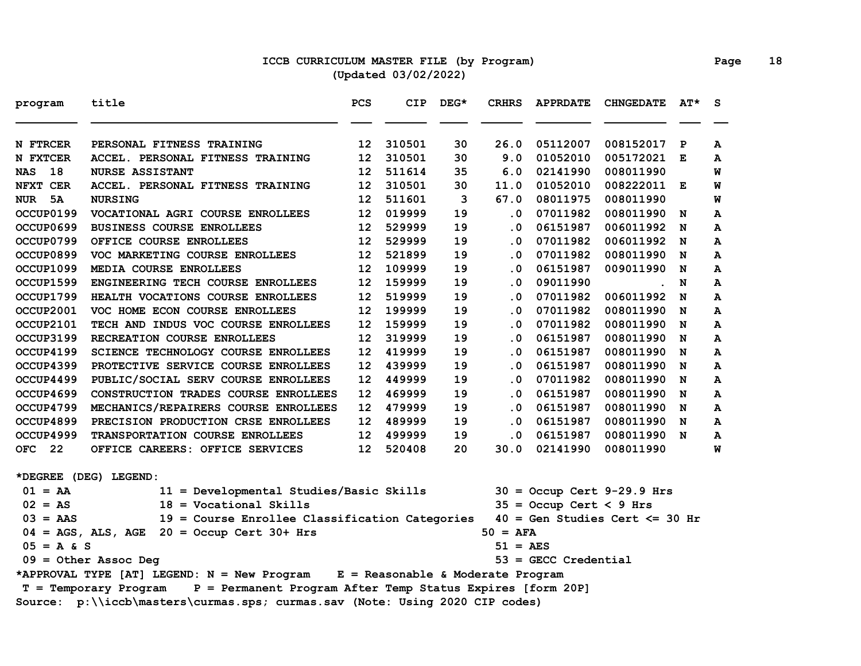### **ICCB CURRICULUM MASTER FILE (by Program) Page 18 (Updated 03/02/2022)**

| program          | title                                                                         | PCS              | <b>CIP</b> | $DEG*$ | <b>CRHRS</b>                | <b>APPRDATE</b>           | <b>CHNGEDATE</b>                  | $AT^{\star}$ | S. |
|------------------|-------------------------------------------------------------------------------|------------------|------------|--------|-----------------------------|---------------------------|-----------------------------------|--------------|----|
| N FTRCER         | PERSONAL FITNESS TRAINING                                                     | 12 <sup>2</sup>  | 310501     | 30     | 26.0                        | 05112007                  | 008152017                         | $\mathbf{P}$ | A  |
| N FXTCER         | ACCEL. PERSONAL FITNESS TRAINING                                              | 12               | 310501     | 30     | 9.0                         | 01052010                  | 005172021                         | E            | A  |
| 18<br><b>NAS</b> | <b>NURSE ASSISTANT</b>                                                        | 12               | 511614     | 35     | 6.0                         | 02141990                  | 008011990                         |              | W  |
| NFXT CER         | ACCEL. PERSONAL FITNESS TRAINING                                              | 12               | 310501     | 30     | 11.0                        | 01052010                  | 008222011 E                       |              | W  |
| NUR 5A           | <b>NURSING</b>                                                                | 12               | 511601     | 3      | 67.0                        | 08011975                  | 008011990                         |              | W  |
| OCCUP0199        | VOCATIONAL AGRI COURSE ENROLLEES                                              | 12               | 019999     | 19     | . 0                         | 07011982                  | 008011990                         | N            | A  |
| OCCUP0699        | <b>BUSINESS COURSE ENROLLEES</b>                                              | 12 <sup>2</sup>  | 529999     | 19     | . 0                         | 06151987                  | 006011992 N                       |              | A  |
| OCCUP0799        | OFFICE COURSE ENROLLEES                                                       | 12 <sup>2</sup>  | 529999     | 19     | . 0                         | 07011982                  | 006011992 N                       |              | А  |
| OCCUP0899        | VOC MARKETING COURSE ENROLLEES                                                | 12 <sub>1</sub>  | 521899     | 19     | . 0                         | 07011982                  | 008011990                         | N            | A  |
| OCCUP1099        | MEDIA COURSE ENROLLEES                                                        | 12               | 109999     | 19     | . 0                         | 06151987                  | 009011990                         | N            | А  |
| OCCUP1599        | ENGINEERING TECH COURSE ENROLLEES                                             | 12 <sup>12</sup> | 159999     | 19     | . 0                         | 09011990                  |                                   | N            | A  |
| OCCUP1799        | HEALTH VOCATIONS COURSE ENROLLEES                                             | 12               | 519999     | 19     | . 0                         | 07011982                  | 006011992                         | N            | А  |
| OCCUP2001        | VOC HOME ECON COURSE ENROLLEES                                                | 12 <sup>2</sup>  | 199999     | 19     | . 0                         | 07011982                  | 008011990                         | N            | A  |
| OCCUP2101        | TECH AND INDUS VOC COURSE ENROLLEES                                           | 12 <sup>12</sup> | 159999     | 19     | . 0                         | 07011982                  | 008011990                         | N            | A  |
| OCCUP3199        | RECREATION COURSE ENROLLEES                                                   | 12               | 319999     | 19     | $\cdot$ 0                   | 06151987                  | 008011990                         | N            | A  |
| OCCUP4199        | <b>SCIENCE TECHNOLOGY COURSE ENROLLEES</b>                                    | 12               | 419999     | 19     | $\cdot$ 0                   | 06151987                  | 008011990                         | N            | A  |
| OCCUP4399        | PROTECTIVE SERVICE COURSE ENROLLEES                                           | 12               | 439999     | 19     | . 0                         | 06151987                  | 008011990                         | N            | A  |
| OCCUP4499        | PUBLIC/SOCIAL SERV COURSE ENROLLEES                                           | 12               | 449999     | 19     | $\cdot$ 0                   | 07011982                  | 008011990                         | N            | A  |
| OCCUP4699        | CONSTRUCTION TRADES COURSE ENROLLEES                                          | 12               | 469999     | 19     | . 0                         | 06151987                  | 008011990                         | N            | A  |
| OCCUP4799        | MECHANICS/REPAIRERS COURSE ENROLLEES                                          | 12               | 479999     | 19     | $\cdot$ 0                   | 06151987                  | 008011990                         | N            | A  |
| OCCUP4899        | PRECISION PRODUCTION CRSE ENROLLEES                                           | 12               | 489999     | 19     | $\overline{\phantom{a}}$ .0 | 06151987                  | 008011990                         | N            | A  |
| OCCUP4999        | TRANSPORTATION COURSE ENROLLEES                                               | 12               | 499999     | 19     | . 0                         | 06151987                  | 008011990 N                       |              | A  |
| OFC 22           | OFFICE CAREERS: OFFICE SERVICES                                               | 12 <sup>1</sup>  | 520408     | 20     | 30.0                        | 02141990                  | 008011990                         |              | W  |
|                  | *DEGREE (DEG) LEGEND:                                                         |                  |            |        |                             |                           |                                   |              |    |
| $01 = AA$        | 11 = Developmental Studies/Basic Skills                                       |                  |            |        |                             |                           | $30 =$ Occup Cert 9-29.9 Hrs      |              |    |
| $02 = AS$        | $18 = Vocational$ Skills                                                      |                  |            |        |                             | $35 =$ Occup Cert < 9 Hrs |                                   |              |    |
| $03 = AAS$       | 19 = Course Enrollee Classification Categories                                |                  |            |        |                             |                           | $40 = Gen Studies Cert \le 30 hr$ |              |    |
|                  | $04 = AGS$ , ALS, AGE $20 = Occup$ Cert 30+ Hrs                               |                  |            |        | $50 = AFA$                  |                           |                                   |              |    |
| $05 = A & S$     |                                                                               |                  |            |        | 51 = AES                    |                           |                                   |              |    |
|                  | $09 = 0$ ther Assoc Deg                                                       |                  |            |        |                             | $53 =$ GECC Credential    |                                   |              |    |
|                  | *APPROVAL TYPE [AT] LEGEND: N = New Program E = Reasonable & Moderate Program |                  |            |        |                             |                           |                                   |              |    |
|                  |                                                                               |                  |            |        |                             |                           |                                   |              |    |
|                  | Source: p:\\iccb\masters\curmas.sps; curmas.sav (Note: Using 2020 CIP codes)  |                  |            |        |                             |                           |                                   |              |    |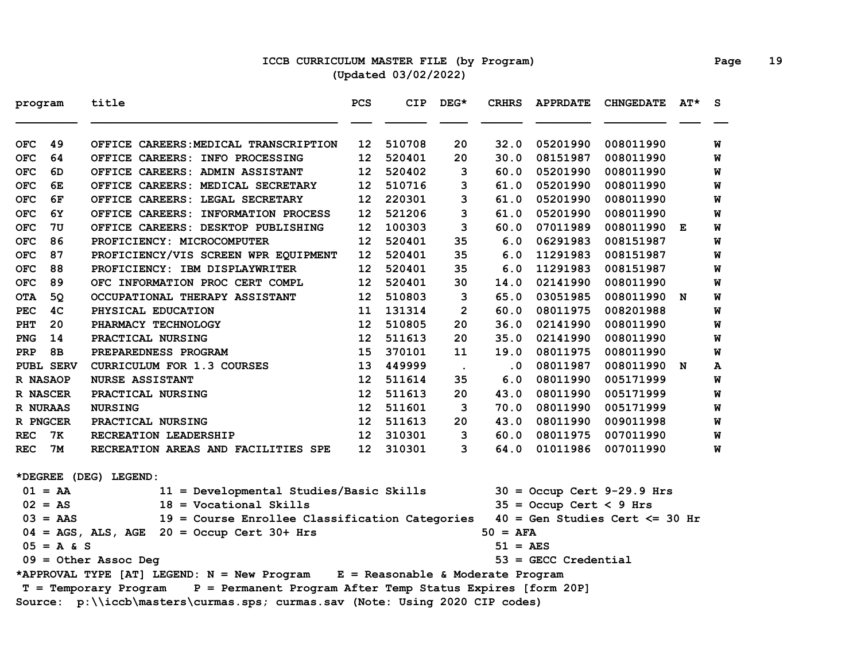# **ICCB CURRICULUM MASTER FILE (by Program) Page 19 (Updated 03/02/2022)**

| program    |              | title                                                                               | PCS              | <b>CIP</b> | DEG*                 | <b>CRHRS</b> | <b>APPRDATE</b>           | <b>CHNGEDATE</b>                  | $AT^{\star}$ | S |
|------------|--------------|-------------------------------------------------------------------------------------|------------------|------------|----------------------|--------------|---------------------------|-----------------------------------|--------------|---|
| <b>OFC</b> | 49           | OFFICE CAREERS: MEDICAL TRANSCRIPTION                                               | 12               | 510708     | 20                   | 32.0         | 05201990                  | 008011990                         |              | W |
| <b>OFC</b> | 64           | OFFICE CAREERS: INFO PROCESSING                                                     | 12 <sub>1</sub>  | 520401     | 20                   | 30.0         | 08151987                  | 008011990                         |              | W |
| <b>OFC</b> | 6D           | OFFICE CAREERS: ADMIN ASSISTANT                                                     | 12               | 520402     | 3                    | 60.0         | 05201990                  | 008011990                         |              | W |
| <b>OFC</b> | 6E           | OFFICE CAREERS: MEDICAL SECRETARY                                                   | 12 <sup>1</sup>  | 510716     | 3                    | 61.0         | 05201990                  | 008011990                         |              | W |
| <b>OFC</b> | 6F           | OFFICE CAREERS: LEGAL SECRETARY                                                     | 12 <sup>1</sup>  | 220301     | 3                    | 61.0         | 05201990                  | 008011990                         |              | W |
| <b>OFC</b> | 6Y           | OFFICE CAREERS: INFORMATION PROCESS                                                 | 12               | 521206     | 3                    | 61.0         | 05201990                  | 008011990                         |              | W |
| <b>OFC</b> | 7U           | OFFICE CAREERS: DESKTOP PUBLISHING                                                  | 12 <sup>1</sup>  | 100303     | 3                    | 60.0         | 07011989                  | 008011990 E                       |              | W |
| <b>OFC</b> | 86           | PROFICIENCY: MICROCOMPUTER                                                          | 12 <sup>°</sup>  | 520401     | 35                   | 6.0          | 06291983                  | 008151987                         |              | W |
| <b>OFC</b> | 87           | PROFICIENCY/VIS SCREEN WPR EQUIPMENT                                                | 12 <sup>12</sup> | 520401     | 35                   | 6.0          | 11291983                  | 008151987                         |              | W |
| <b>OFC</b> | 88           | PROFICIENCY: IBM DISPLAYWRITER                                                      | 12 <sub>1</sub>  | 520401     | 35                   | 6.0          | 11291983                  | 008151987                         |              | W |
| <b>OFC</b> | 89           | OFC INFORMATION PROC CERT COMPL                                                     | 12               | 520401     | 30                   | 14.0         | 02141990                  | 008011990                         |              | W |
| <b>OTA</b> | 50           | OCCUPATIONAL THERAPY ASSISTANT                                                      | 12 <sup>2</sup>  | 510803     | 3                    | 65.0         | 03051985                  | 008011990 N                       |              | W |
| <b>PEC</b> | 4C           | PHYSICAL EDUCATION                                                                  | 11               | 131314     | $\overline{2}$       | 60.0         | 08011975                  | 008201988                         |              | W |
| PHT        | 20           | PHARMACY TECHNOLOGY                                                                 | 12 <sup>2</sup>  | 510805     | 20                   | 36.0         | 02141990                  | 008011990                         |              | W |
| <b>PNG</b> | 14           | PRACTICAL NURSING                                                                   | 12               | 511613     | 20                   | 35.0         | 02141990                  | 008011990                         |              | W |
| PRP        | 8В           | PREPAREDNESS PROGRAM                                                                | 15               | 370101     | 11                   | 19.0         | 08011975                  | 008011990                         |              | W |
|            | PUBL SERV    | <b>CURRICULUM FOR 1.3 COURSES</b>                                                   | 13               | 449999     | $\ddot{\phantom{a}}$ | $\cdot$ 0    | 08011987                  | 008011990 N                       |              | A |
|            | R NASAOP     | <b>NURSE ASSISTANT</b>                                                              | 12 <sup>1</sup>  | 511614     | 35                   | 6.0          | 08011990                  | 005171999                         |              | W |
|            | R NASCER     | PRACTICAL NURSING                                                                   | 12               | 511613     | 20                   | 43.0         | 08011990                  | 005171999                         |              | W |
|            | R NURAAS     | <b>NURSING</b>                                                                      | 12               | 511601     | 3                    | 70.0         | 08011990                  | 005171999                         |              | W |
|            | R PNGCER     | PRACTICAL NURSING                                                                   | 12 <sup>1</sup>  | 511613     | 20                   | 43.0         | 08011990                  | 009011998                         |              | W |
| <b>REC</b> | 7ĸ           | RECREATION LEADERSHIP                                                               | 12               | 310301     | 3                    | 60.0         | 08011975                  | 007011990                         |              | W |
| <b>REC</b> | 7M           | RECREATION AREAS AND FACILITIES SPE                                                 | 12 <sup>°</sup>  | 310301     | 3                    | 64.0         | 01011986                  | 007011990                         |              | W |
|            |              | *DEGREE (DEG) LEGEND:                                                               |                  |            |                      |              |                           |                                   |              |   |
|            | $01 = AA$    | 11 = Developmental Studies/Basic Skills                                             |                  |            |                      |              |                           | $30 =$ Occup Cert 9-29.9 Hrs      |              |   |
|            | $02 = AS$    | $18 = Vocational$ Skills                                                            |                  |            |                      |              | $35 =$ Occup Cert < 9 Hrs |                                   |              |   |
|            | $03 = AAS$   | 19 = Course Enrollee Classification Categories                                      |                  |            |                      |              |                           | $40 = Gen Studies Cert \le 30 hr$ |              |   |
|            |              | $04 = AGS$ , ALS, AGE 20 = Occup Cert 30+ Hrs                                       |                  |            |                      | $50 = AFA$   |                           |                                   |              |   |
|            | $05 = A & S$ |                                                                                     |                  |            |                      | 51 = AES     |                           |                                   |              |   |
|            |              | $09 = 0$ ther Assoc Deg                                                             |                  |            |                      |              | $53 =$ GECC Credential    |                                   |              |   |
|            |              | *APPROVAL TYPE [AT] LEGEND: N = New Program E = Reasonable & Moderate Program       |                  |            |                      |              |                           |                                   |              |   |
|            |              | P = Permanent Program After Temp Status Expires [form 20P]<br>T = Temporary Program |                  |            |                      |              |                           |                                   |              |   |
|            |              | Source: p:\\iccb\masters\curmas.sps; curmas.sav (Note: Using 2020 CIP codes)        |                  |            |                      |              |                           |                                   |              |   |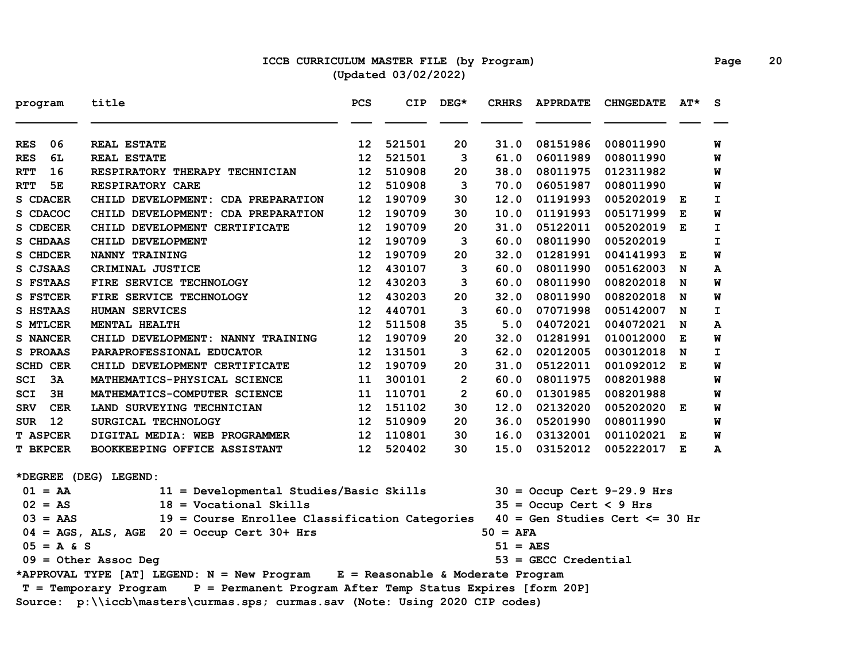### **ICCB CURRICULUM MASTER FILE (by Program) Page 20 (Updated 03/02/2022)**

| program                  | title                                                                               | <b>PCS</b>      | <b>CIP</b> | DEG*           | <b>CRHRS</b> | <b>APPRDATE</b>           | <b>CHNGEDATE</b>                  | AT* | s  |
|--------------------------|-------------------------------------------------------------------------------------|-----------------|------------|----------------|--------------|---------------------------|-----------------------------------|-----|----|
| 06<br><b>RES</b>         | <b>REAL ESTATE</b>                                                                  | 12              | 521501     | 20             | 31.0         | 08151986                  | 008011990                         |     | W  |
| 6L<br><b>RES</b>         | <b>REAL ESTATE</b>                                                                  | 12              | 521501     | 3              | 61.0         | 06011989                  | 008011990                         |     | W  |
| 16<br><b>RTT</b>         | RESPIRATORY THERAPY TECHNICIAN                                                      | 12              | 510908     | 20             | 38.0         | 08011975                  | 012311982                         |     | W  |
| <b>RTT</b><br>5E         | RESPIRATORY CARE                                                                    | 12              | 510908     | 3              | 70.0         | 06051987                  | 008011990                         |     | W  |
| S CDACER                 | CHILD DEVELOPMENT: CDA PREPARATION                                                  | 12              | 190709     | 30             | 12.0         | 01191993                  | 005202019                         | Е   | I  |
| S CDACOC                 | CHILD DEVELOPMENT: CDA PREPARATION                                                  | 12              | 190709     | 30             | 10.0         | 01191993                  | 005171999                         | Е   | W  |
| S CDECER                 | CHILD DEVELOPMENT CERTIFICATE                                                       | 12              | 190709     | 20             | 31.0         | 05122011                  | 005202019                         | E   | I  |
| S CHDAAS                 | CHILD DEVELOPMENT                                                                   | 12              | 190709     | 3              | 60.0         | 08011990                  | 005202019                         |     | I  |
| S CHDCER                 | <b>NANNY TRAINING</b>                                                               | 12              | 190709     | 20             | 32.0         | 01281991                  | 004141993                         | Е   | W  |
| S CJSAAS                 | CRIMINAL JUSTICE                                                                    | 12              | 430107     | 3              | 60.0         | 08011990                  | 005162003                         | N   | А  |
| S FSTAAS                 | FIRE SERVICE TECHNOLOGY                                                             | 12              | 430203     | 3              | 60.0         | 08011990                  | 008202018                         | N   | W  |
| <b>S FSTCER</b>          | FIRE SERVICE TECHNOLOGY                                                             | 12              | 430203     | 20             | 32.0         | 08011990                  | 008202018                         | N   | W  |
| S HSTAAS                 | <b>HUMAN SERVICES</b>                                                               | 12              | 440701     | 3              | 60.0         | 07071998                  | 005142007                         | N   | I. |
| S MTLCER                 | MENTAL HEALTH                                                                       | 12              | 511508     | 35             | 5.0          | 04072021                  | 004072021                         | N   | A  |
| S NANCER                 | CHILD DEVELOPMENT: NANNY TRAINING                                                   | 12              | 190709     | 20             | 32.0         | 01281991                  | 010012000                         | Е   | W  |
| S PROAAS                 | PARAPROFESSIONAL EDUCATOR                                                           | 12              | 131501     | 3              | 62.0         | 02012005                  | 003012018                         | N   | I  |
| <b>SCHD CER</b>          | CHILD DEVELOPMENT CERTIFICATE                                                       | 12              | 190709     | 20             | 31.0         | 05122011                  | 001092012                         | E   | W  |
| 3A<br>SCI                | MATHEMATICS-PHYSICAL SCIENCE                                                        | 11              | 300101     | $\overline{2}$ | 60.0         | 08011975                  | 008201988                         |     | W  |
| 3H<br>SCI                | MATHEMATICS-COMPUTER SCIENCE                                                        | 11              | 110701     | $\overline{2}$ | 60.0         | 01301985                  | 008201988                         |     | W  |
| <b>SRV</b><br><b>CER</b> | LAND SURVEYING TECHNICIAN                                                           | 12              | 151102     | 30             | 12.0         | 02132020                  | 005202020 E                       |     | W  |
| 12<br>SUR                | SURGICAL TECHNOLOGY                                                                 | 12 <sup>°</sup> | 510909     | 20             | 36.0         | 05201990                  | 008011990                         |     | W  |
| <b>T ASPCER</b>          | DIGITAL MEDIA: WEB PROGRAMMER                                                       | 12 <sup>°</sup> | 110801     | 30             | 16.0         | 03132001                  | 001102021 E                       |     | W  |
| <b>T BKPCER</b>          | BOOKKEEPING OFFICE ASSISTANT                                                        | 12              | 520402     | 30             | 15.0         | 03152012                  | 005222017 E                       |     | A  |
|                          | *DEGREE (DEG) LEGEND:                                                               |                 |            |                |              |                           |                                   |     |    |
| $01 = AA$                | 11 = Developmental Studies/Basic Skills                                             |                 |            |                |              |                           | $30 =$ Occup Cert 9-29.9 Hrs      |     |    |
| $02 = AS$                | $18 = Vocational$ Skills                                                            |                 |            |                |              | $35 =$ Occup Cert < 9 Hrs |                                   |     |    |
| $03 = AAS$               | 19 = Course Enrollee Classification Categories                                      |                 |            |                |              |                           | $40 = Gen Studies Cert \le 30 hr$ |     |    |
|                          | $04 = AGS$ , ALS, AGE $20 = Occup$ Cert 30+ Hrs                                     |                 |            |                | $50 = AFA$   |                           |                                   |     |    |
| $05 = A & S$             |                                                                                     |                 |            |                | $51 = AES$   |                           |                                   |     |    |
|                          | $09 =$ Other Assoc Deg                                                              |                 |            |                |              | $53 =$ GECC Credential    |                                   |     |    |
|                          | *APPROVAL TYPE [AT] LEGEND: N = New Program E = Reasonable & Moderate Program       |                 |            |                |              |                           |                                   |     |    |
|                          | P = Permanent Program After Temp Status Expires [form 20P]<br>T = Temporary Program |                 |            |                |              |                           |                                   |     |    |
|                          | Source: p:\\iccb\masters\curmas.sps; curmas.sav (Note: Using 2020 CIP codes)        |                 |            |                |              |                           |                                   |     |    |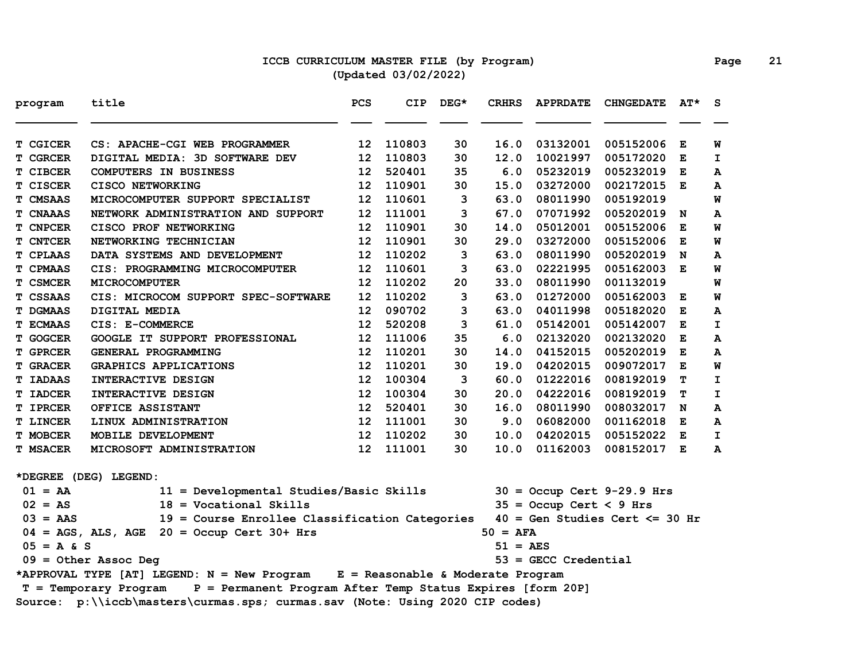### **ICCB CURRICULUM MASTER FILE (by Program) Page 21 (Updated 03/02/2022)**

| program         | title                                                                               | PCS               | CIP.   | $DEG*$ | <b>CRHRS</b>          | <b>APPRDATE</b>           | <b>CHNGEDATE</b>                  | $AT^{\star}$ | S.           |
|-----------------|-------------------------------------------------------------------------------------|-------------------|--------|--------|-----------------------|---------------------------|-----------------------------------|--------------|--------------|
| T CGICER        | CS: APACHE-CGI WEB PROGRAMMER                                                       | 12                | 110803 | 30     | 16.0                  | 03132001                  | 005152006                         | Е            | W            |
| T CGRCER        | DIGITAL MEDIA: 3D SOFTWARE DEV                                                      | 12                | 110803 | 30     | 12.0                  | 10021997                  | 005172020                         | E            | I.           |
| T CIBCER        | <b>COMPUTERS IN BUSINESS</b>                                                        | 12                | 520401 | 35     | 6.0                   | 05232019                  | 005232019                         | Е            | A            |
| T CISCER        | <b>CISCO NETWORKING</b>                                                             | $12 \overline{ }$ | 110901 | 30     | 15.0                  | 03272000                  | 002172015                         | Е            | A            |
| T CMSAAS        | MICROCOMPUTER SUPPORT SPECIALIST                                                    | 12                | 110601 | 3      | 63.0                  | 08011990                  | 005192019                         |              | W            |
| <b>T CNAAAS</b> | NETWORK ADMINISTRATION AND SUPPORT                                                  | 12                | 111001 | 3      | 67.0                  | 07071992                  | 005202019                         | N            | A            |
| <b>T CNPCER</b> | CISCO PROF NETWORKING                                                               | 12                | 110901 | 30     | 14.0                  | 05012001                  | 005152006                         | Е            | W            |
| <b>T CNTCER</b> | NETWORKING TECHNICIAN                                                               | 12                | 110901 | 30     | 29.0                  | 03272000                  | 005152006                         | E            | W            |
| <b>T CPLAAS</b> | DATA SYSTEMS AND DEVELOPMENT                                                        | 12                | 110202 | 3      | 63.0                  | 08011990                  | 005202019                         | N            | A            |
| T CPMAAS        | CIS: PROGRAMMING MICROCOMPUTER                                                      | 12                | 110601 | 3      | 63.0                  | 02221995                  | 005162003                         | Е            | W            |
| T CSMCER        | <b>MICROCOMPUTER</b>                                                                | 12                | 110202 | 20     | 33.0                  | 08011990                  | 001132019                         |              | W            |
| T CSSAAS        | CIS: MICROCOM SUPPORT SPEC-SOFTWARE                                                 | 12                | 110202 | 3      | 63.0                  | 01272000                  | 005162003                         | Е            | M            |
| <b>T DGMAAS</b> | DIGITAL MEDIA                                                                       | 12                | 090702 | 3      | 63.0                  | 04011998                  | 005182020                         | Е            | А            |
| <b>T ECMAAS</b> | CIS: E-COMMERCE                                                                     | 12                | 520208 | 3      | 61.0                  | 05142001                  | 005142007                         | Е            | $\mathbf{I}$ |
| <b>T GOGCER</b> | <b>GOOGLE IT SUPPORT PROFESSIONAL</b>                                               | 12                | 111006 | 35     | 6.0                   | 02132020                  | 002132020                         | E            | A            |
| <b>T GPRCER</b> | GENERAL PROGRAMMING                                                                 | 12                | 110201 | 30     | 14.0                  | 04152015                  | 005202019                         | Е            | A            |
| <b>T GRACER</b> | GRAPHICS APPLICATIONS                                                               | 12                | 110201 | 30     | 19.0                  | 04202015                  | 009072017                         | Е            | W            |
| <b>T IADAAS</b> | INTERACTIVE DESIGN                                                                  | 12                | 100304 | 3      | 60.0                  | 01222016                  | 008192019                         | т            | I            |
| <b>T IADCER</b> | INTERACTIVE DESIGN                                                                  | 12                | 100304 | 30     | 20.0                  | 04222016                  | 008192019                         | т            | I            |
| <b>T IPRCER</b> | OFFICE ASSISTANT                                                                    | 12                | 520401 | 30     | 16.0                  | 08011990                  | 008032017                         | N            | A            |
| <b>T LINCER</b> | LINUX ADMINISTRATION                                                                | 12                | 111001 | 30     | 9.0                   | 06082000                  | 001162018                         | Е            | A            |
| <b>T MOBCER</b> | MOBILE DEVELOPMENT                                                                  | 12 <sup>2</sup>   | 110202 | 30     | 10.0                  | 04202015                  | 005152022 E                       |              | I.           |
| <b>T MSACER</b> | MICROSOFT ADMINISTRATION                                                            | $12 \overline{ }$ | 111001 | 30     | 10.0                  | 01162003                  | 008152017 E                       |              | A            |
|                 | *DEGREE (DEG) LEGEND:                                                               |                   |        |        |                       |                           |                                   |              |              |
| $01 = AA$       | 11 = Developmental Studies/Basic Skills                                             |                   |        |        |                       |                           | $30 =$ Occup Cert 9-29.9 Hrs      |              |              |
| $02 = AS$       | $18 = Vocational$ Skills                                                            |                   |        |        |                       | $35 =$ Occup Cert < 9 Hrs |                                   |              |              |
| $03 = AAS$      | 19 = Course Enrollee Classification Categories                                      |                   |        |        |                       |                           | $40 = Gen Studies Cert \le 30 hr$ |              |              |
|                 | $04 = AGS$ , ALS, AGE $20 = Occup$ Cert 30+ Hrs                                     |                   |        |        | $50 = AFA$            |                           |                                   |              |              |
| $05 = A & S$    |                                                                                     |                   |        |        | $51 = \overline{AES}$ |                           |                                   |              |              |
|                 | $09 = 0$ ther Assoc Deg                                                             |                   |        |        |                       | $53 =$ GECC Credential    |                                   |              |              |
|                 | *APPROVAL TYPE [AT] LEGEND: N = New Program E = Reasonable & Moderate Program       |                   |        |        |                       |                           |                                   |              |              |
|                 | P = Permanent Program After Temp Status Expires [form 20P]<br>T = Temporary Program |                   |        |        |                       |                           |                                   |              |              |
|                 | Source: p:\\iccb\masters\curmas.sps; curmas.sav (Note: Using 2020 CIP codes)        |                   |        |        |                       |                           |                                   |              |              |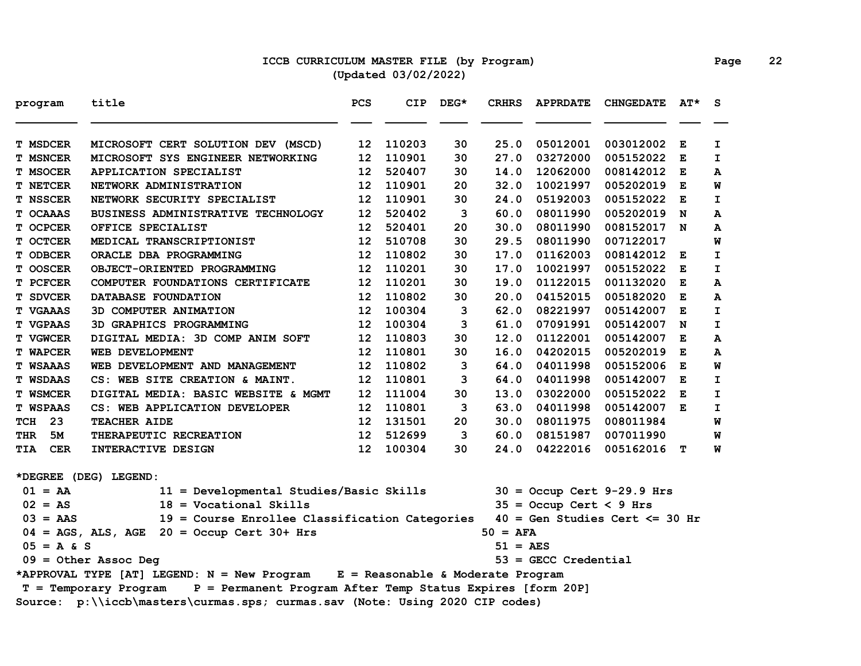### **ICCB CURRICULUM MASTER FILE (by Program) Page 22 (Updated 03/02/2022)**

| program                  | title                                                                               | PCS               | <b>CIP</b> | DEG* | <b>CRHRS</b>          | <b>APPRDATE</b>           | <b>CHNGEDATE</b>                  | $AT^{\star}$ | S            |
|--------------------------|-------------------------------------------------------------------------------------|-------------------|------------|------|-----------------------|---------------------------|-----------------------------------|--------------|--------------|
| <b>T MSDCER</b>          | MICROSOFT CERT SOLUTION DEV (MSCD)                                                  | 12                | 110203     | 30   | 25.0                  | 05012001                  | 003012002                         | Е            | I.           |
| <b>T MSNCER</b>          | MICROSOFT SYS ENGINEER NETWORKING                                                   | 12                | 110901     | 30   | 27.0                  | 03272000                  | 005152022                         | Е            | $\mathbf{I}$ |
| <b>T MSOCER</b>          | <b>APPLICATION SPECIALIST</b>                                                       | 12                | 520407     | 30   | 14.0                  | 12062000                  | 008142012                         | Е            | A            |
| <b>T NETCER</b>          | NETWORK ADMINISTRATION                                                              | 12                | 110901     | 20   | 32.0                  | 10021997                  | 005202019                         | E            | W            |
| <b>T NSSCER</b>          | NETWORK SECURITY SPECIALIST                                                         | 12                | 110901     | 30   | 24.0                  | 05192003                  | 005152022                         | Е            | $\mathbf{I}$ |
| T OCAAAS                 | BUSINESS ADMINISTRATIVE TECHNOLOGY                                                  | 12                | 520402     | 3    | 60.0                  | 08011990                  | 005202019                         | N            | А            |
| T OCPCER                 | OFFICE SPECIALIST                                                                   | 12                | 520401     | 20   | 30.0                  | 08011990                  | 008152017 N                       |              | A            |
| T OCTCER                 | MEDICAL TRANSCRIPTIONIST                                                            | 12                | 510708     | 30   | 29.5                  | 08011990                  | 007122017                         |              | W            |
| <b>T ODBCER</b>          | ORACLE DBA PROGRAMMING                                                              | 12                | 110802     | 30   | 17.0                  | 01162003                  | 008142012                         | E            | $\mathbf I$  |
| T OOSCER                 | OBJECT-ORIENTED PROGRAMMING                                                         | 12                | 110201     | 30   | 17.0                  | 10021997                  | 005152022                         | Е            | I.           |
| T PCFCER                 | COMPUTER FOUNDATIONS CERTIFICATE                                                    | 12                | 110201     | 30   | 19.0                  | 01122015                  | 001132020                         | Е            | А            |
| <b>T SDVCER</b>          | DATABASE FOUNDATION                                                                 | 12                | 110802     | 30   | 20.0                  | 04152015                  | 005182020                         | Е            | А            |
| <b>T VGAAAS</b>          | 3D COMPUTER ANIMATION                                                               | 12                | 100304     | 3    | 62.0                  | 08221997                  | 005142007                         | Е            | $\mathbf{I}$ |
| <b>T VGPAAS</b>          | 3D GRAPHICS PROGRAMMING                                                             | 12                | 100304     | 3    | 61.0                  | 07091991                  | 005142007                         | N            | I.           |
| T VGWCER                 | DIGITAL MEDIA: 3D COMP ANIM SOFT                                                    | 12                | 110803     | 30   | 12.0                  | 01122001                  | 005142007                         | Е            | A            |
| <b>T WAPCER</b>          | <b>WEB DEVELOPMENT</b>                                                              | 12                | 110801     | 30   | 16.0                  | 04202015                  | 005202019                         | E            | A            |
| <b>T WSAAAS</b>          | WEB DEVELOPMENT AND MANAGEMENT                                                      | $12 \overline{ }$ | 110802     | 3    | 64.0                  | 04011998                  | 005152006                         | E            | W            |
| <b>T WSDAAS</b>          | CS: WEB SITE CREATION & MAINT.                                                      | 12                | 110801     | 3    | 64.0                  | 04011998                  | 005142007                         | Е            | I.           |
| <b>T WSMCER</b>          | DIGITAL MEDIA: BASIC WEBSITE & MGMT                                                 | 12                | 111004     | 30   | 13.0                  | 03022000                  | 005152022                         | Е            | I            |
| <b>T WSPAAS</b>          | CS: WEB APPLICATION DEVELOPER                                                       | 12                | 110801     | 3    | 63.0                  | 04011998                  | 005142007 E                       |              | $\mathbf I$  |
| 23<br>TCH                | <b>TEACHER AIDE</b>                                                                 | 12                | 131501     | 20   | 30.0                  | 08011975                  | 008011984                         |              | W            |
| 5M<br>THR                | THERAPEUTIC RECREATION                                                              | $12 \overline{ }$ | 512699     | 3    | 60.0                  | 08151987                  | 007011990                         |              | W            |
| <b>TIA</b><br><b>CER</b> | INTERACTIVE DESIGN                                                                  | 12                | 100304     | 30   | 24.0                  | 04222016                  | 005162016 T                       |              | W            |
|                          | *DEGREE (DEG) LEGEND:                                                               |                   |            |      |                       |                           |                                   |              |              |
| $01 = AA$                | 11 = Developmental Studies/Basic Skills                                             |                   |            |      |                       |                           | $30 =$ Occup Cert 9-29.9 Hrs      |              |              |
| $02 = AS$                | $18 = Vocational Skills$                                                            |                   |            |      |                       | $35 =$ Occup Cert < 9 Hrs |                                   |              |              |
| $03 = AAS$               | 19 = Course Enrollee Classification Categories                                      |                   |            |      |                       |                           | $40 = Gen Studies Cert \le 30 hr$ |              |              |
|                          | $04 = AGS$ , ALS, AGE $20 = Occup$ Cert 30+ Hrs                                     |                   |            |      | $50 = AFA$            |                           |                                   |              |              |
| $05 = A & S$             |                                                                                     |                   |            |      | $51 = \overline{AES}$ |                           |                                   |              |              |
|                          | $09 = 0$ ther Assoc Deg                                                             |                   |            |      |                       | $53 =$ GECC Credential    |                                   |              |              |
|                          | *APPROVAL TYPE [AT] LEGEND: N = New Program E = Reasonable & Moderate Program       |                   |            |      |                       |                           |                                   |              |              |
|                          | P = Permanent Program After Temp Status Expires [form 20P]<br>T = Temporary Program |                   |            |      |                       |                           |                                   |              |              |
|                          | Source: p:\\iccb\masters\curmas.sps; curmas.sav (Note: Using 2020 CIP codes)        |                   |            |      |                       |                           |                                   |              |              |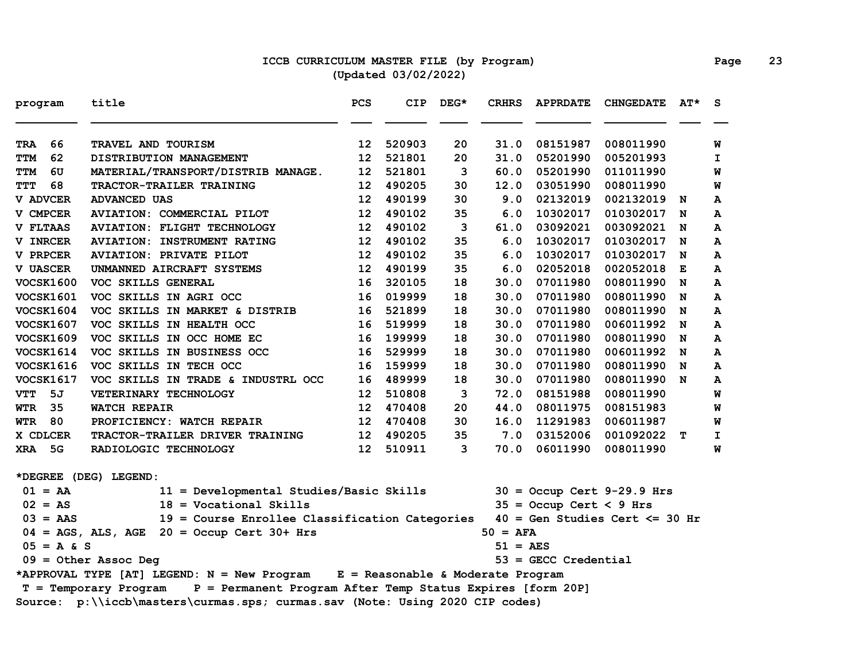### **ICCB CURRICULUM MASTER FILE (by Program) Page 23 (Updated 03/02/2022)**

| program          | title                                                                               | <b>PCS</b>      | <b>CIP</b> | $DEG*$ | <b>CRHRS</b>      | <b>APPRDATE</b>           | <b>CHNGEDATE</b>                  | $AT^{\star}$ | S.           |
|------------------|-------------------------------------------------------------------------------------|-----------------|------------|--------|-------------------|---------------------------|-----------------------------------|--------------|--------------|
| 66<br><b>TRA</b> | TRAVEL AND TOURISM                                                                  | 12 <sub>1</sub> | 520903     | 20     | 31.0              | 08151987                  | 008011990                         |              | W            |
| 62<br>TTM        | DISTRIBUTION MANAGEMENT                                                             | 12              | 521801     | 20     | 31.0              | 05201990                  | 005201993                         |              | I.           |
| 6U<br>TTM        | MATERIAL/TRANSPORT/DISTRIB MANAGE.                                                  | 12              | 521801     | 3      | 60.0              | 05201990                  | 011011990                         |              | W            |
| 68<br><b>TTT</b> | TRACTOR-TRAILER TRAINING                                                            | 12              | 490205     | 30     | 12.0              | 03051990                  | 008011990                         |              | W            |
| V ADVCER         | <b>ADVANCED UAS</b>                                                                 | 12 <sup>2</sup> | 490199     | 30     | 9.0               | 02132019                  | 002132019                         | N            | A            |
| V CMPCER         | <b>AVIATION: COMMERCIAL PILOT</b>                                                   | 12 <sup>2</sup> | 490102     | 35     | 6.0               | 10302017                  | 010302017                         | N            | A            |
| <b>V FLTAAS</b>  | <b>AVIATION: FLIGHT TECHNOLOGY</b>                                                  | 12 <sub>2</sub> | 490102     | 3      | 61.0              | 03092021                  | 003092021                         | N            | A            |
| V INRCER         | <b>AVIATION: INSTRUMENT RATING</b>                                                  | 12              | 490102     | 35     | 6.0               | 10302017                  | 010302017                         | N            | A            |
| V PRPCER         | <b>AVIATION: PRIVATE PILOT</b>                                                      | 12 <sub>1</sub> | 490102     | 35     | 6.0               | 10302017                  | 010302017                         | N            | A            |
| <b>V UASCER</b>  | UNMANNED AIRCRAFT SYSTEMS                                                           | 12              | 490199     | 35     | 6.0               | 02052018                  | 002052018                         | Е            | A            |
| <b>VOCSK1600</b> | VOC SKILLS GENERAL                                                                  | 16              | 320105     | 18     | 30.0              | 07011980                  | 008011990                         | N            | A            |
| <b>VOCSK1601</b> | VOC SKILLS IN AGRI OCC                                                              | 16              | 019999     | 18     | 30.0              | 07011980                  | 008011990                         | N            | A            |
| <b>VOCSK1604</b> | VOC SKILLS IN MARKET & DISTRIB                                                      | 16              | 521899     | 18     | 30.0              | 07011980                  | 008011990                         | N            | A            |
| <b>VOCSK1607</b> | VOC SKILLS IN HEALTH OCC                                                            | 16              | 519999     | 18     | 30.0              | 07011980                  | 006011992                         | N            | A            |
| <b>VOCSK1609</b> | VOC SKILLS IN OCC HOME EC                                                           | 16              | 199999     | 18     | 30.0              | 07011980                  | 008011990                         | N            | A            |
| <b>VOCSK1614</b> | VOC SKILLS IN BUSINESS OCC                                                          | 16              | 529999     | 18     | 30.0              | 07011980                  | 006011992                         | N            | A            |
| <b>VOCSK1616</b> | VOC SKILLS IN TECH OCC                                                              | 16              | 159999     | 18     | 30.0              | 07011980                  | 008011990                         | N            | A            |
| <b>VOCSK1617</b> | VOC SKILLS IN TRADE & INDUSTRL OCC                                                  | 16              | 489999     | 18     | 30.0              | 07011980                  | 008011990                         | N            | $\mathbf{A}$ |
| <b>VTT</b><br>5J | VETERINARY TECHNOLOGY                                                               | 12              | 510808     | 3      | 72.0              | 08151988                  | 008011990                         |              | W            |
| 35<br>WTR        | <b>WATCH REPAIR</b>                                                                 | 12 <sup>2</sup> | 470408     | 20     | 44.0              | 08011975                  | 008151983                         |              | W            |
| 80<br>WTR        | PROFICIENCY: WATCH REPAIR                                                           | 12 <sup>1</sup> | 470408     | 30     | 16.0              | 11291983                  | 006011987                         |              | W            |
| X CDLCER         | TRACTOR-TRAILER DRIVER TRAINING                                                     | 12 <sub>2</sub> | 490205     | 35     | 7.0               | 03152006                  | 001092022                         | т            | I            |
| XRA 5G           | RADIOLOGIC TECHNOLOGY                                                               | 12 <sub>2</sub> | 510911     | 3      | 70.0              | 06011990                  | 008011990                         |              | W            |
|                  | *DEGREE (DEG) LEGEND:                                                               |                 |            |        |                   |                           |                                   |              |              |
| $01 = AA$        | 11 = Developmental Studies/Basic Skills                                             |                 |            |        |                   |                           | $30 =$ Occup Cert 9-29.9 Hrs      |              |              |
| $02 = AS$        | $18 = Vocational$ Skills                                                            |                 |            |        |                   | $35 =$ Occup Cert < 9 Hrs |                                   |              |              |
| $03 = AAS$       | 19 = Course Enrollee Classification Categories                                      |                 |            |        |                   |                           | $40 = Gen Studies Cert \le 30 Hr$ |              |              |
|                  | $04 = AGS$ , ALS, AGE 20 = Occup Cert 30+ Hrs                                       |                 |            |        | $50 = AFA$        |                           |                                   |              |              |
| $05 = A & S$     |                                                                                     |                 |            |        | $51 = \text{AES}$ |                           |                                   |              |              |
|                  | $09 = 0$ ther Assoc Deg                                                             |                 |            |        |                   | $53 =$ GECC Credential    |                                   |              |              |
|                  | *APPROVAL TYPE [AT] LEGEND: N = New Program E = Reasonable & Moderate Program       |                 |            |        |                   |                           |                                   |              |              |
|                  | P = Permanent Program After Temp Status Expires [form 20P]<br>T = Temporary Program |                 |            |        |                   |                           |                                   |              |              |
|                  | Source: p:\\iccb\masters\curmas.sps; curmas.sav (Note: Using 2020 CIP codes)        |                 |            |        |                   |                           |                                   |              |              |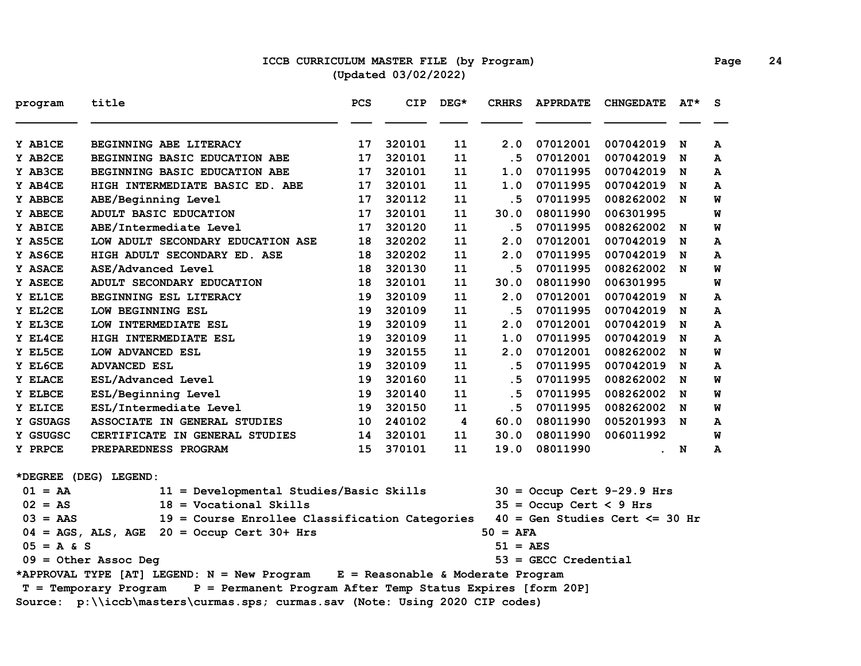### **ICCB CURRICULUM MASTER FILE (by Program) Page 24 (Updated 03/02/2022)**

| program      | title                                                                                 | <b>PCS</b> | <b>CIP</b> | $DEG*$ | <b>CRHRS</b>          | <b>APPRDATE</b>           | <b>CHNGEDATE</b>                  | AT* | S |
|--------------|---------------------------------------------------------------------------------------|------------|------------|--------|-----------------------|---------------------------|-----------------------------------|-----|---|
| Y AB1CE      | BEGINNING ABE LITERACY                                                                | 17         | 320101     | 11     | 2.0                   | 07012001                  | 007042019                         | N   | A |
| Y AB2CE      | BEGINNING BASIC EDUCATION ABE                                                         | 17         | 320101     | 11     | .5                    | 07012001                  | 007042019                         | N   | A |
| Y AB3CE      | BEGINNING BASIC EDUCATION ABE                                                         | 17         | 320101     | 11     | 1.0                   | 07011995                  | 007042019                         | N   | A |
| Y AB4CE      | HIGH INTERMEDIATE BASIC ED. ABE                                                       | 17         | 320101     | 11     | 1.0                   | 07011995                  | 007042019                         | N   | A |
| Y ABBCE      | ABE/Beginning Level                                                                   | 17         | 320112     | 11     | . 5                   | 07011995                  | 008262002 N                       |     | W |
| Y ABECE      | ADULT BASIC EDUCATION                                                                 | 17         | 320101     | 11     | 30.0                  | 08011990                  | 006301995                         |     | W |
| Y ABICE      | ABE/Intermediate Level                                                                | 17         | 320120     | 11     | . 5                   | 07011995                  | 008262002                         | N   | W |
| Y AS5CE      | LOW ADULT SECONDARY EDUCATION ASE                                                     | 18         | 320202     | 11     | 2.0                   | 07012001                  | 007042019                         | N   | A |
| Y AS6CE      | HIGH ADULT SECONDARY ED. ASE                                                          | 18         | 320202     | 11     | 2.0                   | 07011995                  | 007042019                         | N   | A |
| Y ASACE      | ASE/Advanced Level                                                                    | 18         | 320130     | 11     | .5                    | 07011995                  | 008262002 N                       |     | W |
| Y ASECE      | ADULT SECONDARY EDUCATION                                                             | 18         | 320101     | 11     | 30.0                  | 08011990                  | 006301995                         |     | W |
| Y EL1CE      | BEGINNING ESL LITERACY                                                                | 19         | 320109     | 11     | 2.0                   | 07012001                  | 007042019                         | N   | A |
| Y EL2CE      | LOW BEGINNING ESL                                                                     | 19         | 320109     | 11     | .5                    | 07011995                  | 007042019                         | N   | A |
| Y EL3CE      | LOW INTERMEDIATE ESL                                                                  | 19         | 320109     | 11     | 2.0                   | 07012001                  | 007042019                         | N   | A |
| Y EL4CE      | HIGH INTERMEDIATE ESL                                                                 | 19         | 320109     | 11     | 1.0                   | 07011995                  | 007042019                         | N   | A |
| Y EL5CE      | LOW ADVANCED ESL                                                                      | 19         | 320155     | 11     | 2.0                   | 07012001                  | 008262002                         | N   | W |
| Y EL6CE      | <b>ADVANCED ESL</b>                                                                   | 19         | 320109     | 11     | .5                    | 07011995                  | 007042019                         | N   | A |
| Y ELACE      | ESL/Advanced Level                                                                    | 19         | 320160     | 11     | .5                    | 07011995                  | 008262002                         | N   | W |
| Y ELBCE      | ESL/Beginning Level                                                                   | 19         | 320140     | 11     | .5                    | 07011995                  | 008262002                         | N   | W |
| Y ELICE      | ESL/Intermediate Level                                                                | 19         | 320150     | 11     | .5                    | 07011995                  | 008262002                         | N   | W |
| Y GSUAGS     | ASSOCIATE IN GENERAL STUDIES                                                          | 10         | 240102     | 4      | 60.0                  | 08011990                  | 005201993 N                       |     | A |
| Y GSUGSC     | CERTIFICATE IN GENERAL STUDIES                                                        | 14         | 320101     | 11     | 30.0                  | 08011990                  | 006011992                         |     | W |
| Y PRPCE      | PREPAREDNESS PROGRAM                                                                  | 15         | 370101     | 11     | 19.0                  | 08011990                  |                                   | . N | A |
|              | *DEGREE (DEG) LEGEND:                                                                 |            |            |        |                       |                           |                                   |     |   |
| $01 = AA$    | 11 = Developmental Studies/Basic Skills                                               |            |            |        |                       |                           | $30 =$ Occup Cert 9-29.9 Hrs      |     |   |
| $02 = AS$    | $18 = Vocational Skills$                                                              |            |            |        |                       | $35 =$ Occup Cert < 9 Hrs |                                   |     |   |
| $03 = AAS$   | 19 = Course Enrollee Classification Categories                                        |            |            |        |                       |                           | $40 = Gen Studies Cert \le 30 hr$ |     |   |
|              | $04 = AGS$ , ALS, AGE $20 = Occup$ Cert 30+ Hrs                                       |            |            |        | $50 = AFA$            |                           |                                   |     |   |
| $05 = A & S$ |                                                                                       |            |            |        | $51 = \overline{AES}$ |                           |                                   |     |   |
|              | $09 = 0$ ther Assoc Deg                                                               |            |            |        |                       | $53 =$ GECC Credential    |                                   |     |   |
|              | *APPROVAL TYPE [AT] LEGEND: N = New Program E = Reasonable & Moderate Program         |            |            |        |                       |                           |                                   |     |   |
|              | P = Permanent Program After Temp Status Expires [form 20P]<br>$T = Temporary Program$ |            |            |        |                       |                           |                                   |     |   |
|              | Source: p:\\iccb\masters\curmas.sps; curmas.sav (Note: Using 2020 CIP codes)          |            |            |        |                       |                           |                                   |     |   |